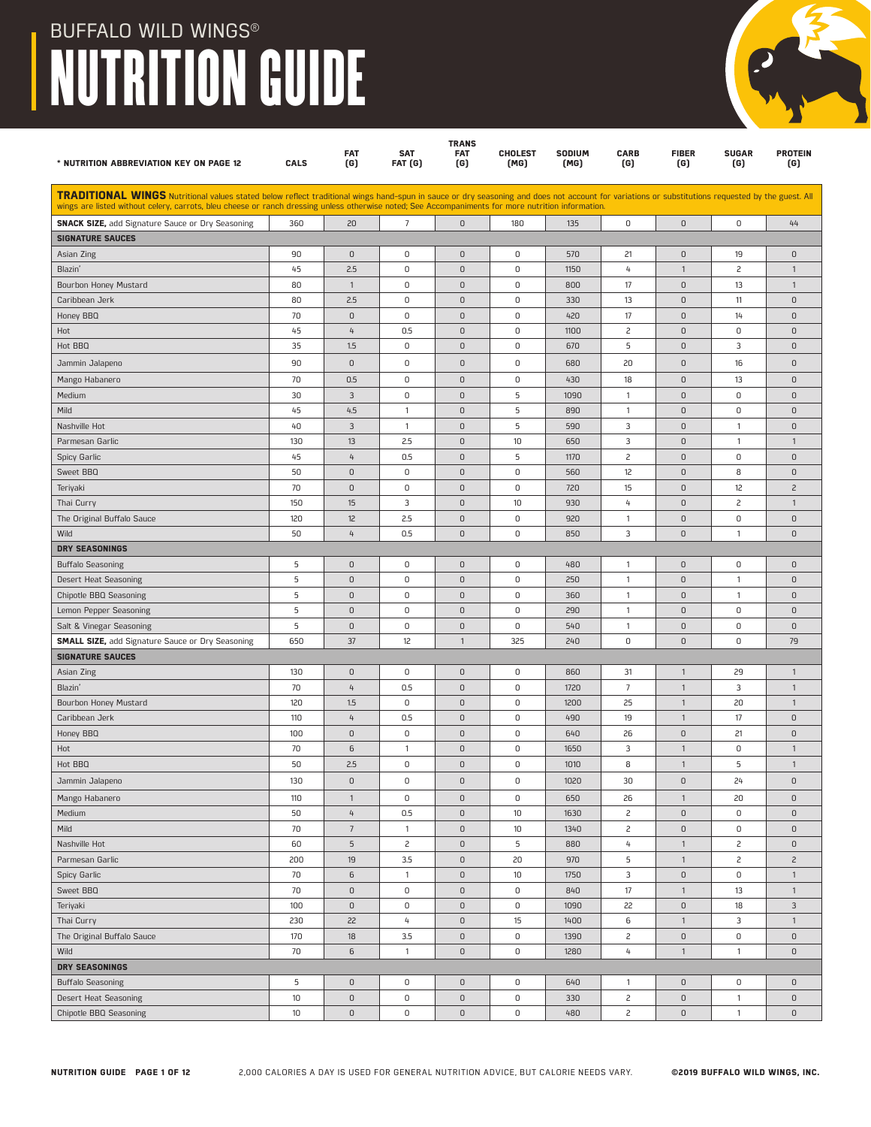| * NUTRITION ABBREVIATION KEY ON PAGE 12                                                                                                                                                                                                                                                                                                                | <b>CALS</b> | <b>FAT</b><br>(G)         | <b>SAT</b><br>FAT (G) | <b>TRANS</b><br><b>FAT</b><br>(G) | <b>CHOLEST</b><br>(MG) | <b>SODIUM</b><br>(MG) | <b>CARB</b><br>(G) | <b>FIBER</b><br>(G) | <b>SUGAR</b><br>(G) | <b>PROTEIN</b><br>(G) |
|--------------------------------------------------------------------------------------------------------------------------------------------------------------------------------------------------------------------------------------------------------------------------------------------------------------------------------------------------------|-------------|---------------------------|-----------------------|-----------------------------------|------------------------|-----------------------|--------------------|---------------------|---------------------|-----------------------|
| TRADITIONAL WINGS Nutritional values stated below reflect traditional wings hand-spun in sauce or dry seasoning and does not account for variations or substitutions requested by the guest. All<br>wings are listed without celery, carrots, bleu cheese or ranch dressing unless otherwise noted; See Accompaniments for more nutrition information. |             |                           |                       |                                   |                        |                       |                    |                     |                     |                       |
| <b>SNACK SIZE, add Signature Sauce or Dry Seasoning</b>                                                                                                                                                                                                                                                                                                | 360         | 20                        | 7                     | $\mathbf{0}$                      | 180                    | 135                   | 0                  | $\mathsf D$         | 0                   | 44                    |
| <b>SIGNATURE SAUCES</b>                                                                                                                                                                                                                                                                                                                                |             |                           |                       |                                   |                        |                       |                    |                     |                     |                       |
| Asian Zing                                                                                                                                                                                                                                                                                                                                             | 90          | $\mathbb O$               | 0                     | $\mathsf 0$                       | 0                      | 570                   | 21                 | $\mathsf 0$         | 19                  | 0                     |
| Blazin'                                                                                                                                                                                                                                                                                                                                                | 45          | 2.5                       | 0                     | $\mathsf 0$                       | 0                      | 1150                  | 4                  | $\mathbf{1}$        | $\overline{c}$      | $\mathbf{1}$          |
| Bourbon Honey Mustard                                                                                                                                                                                                                                                                                                                                  | 80          | $\mathbf{1}$              | 0                     | $\mathsf 0$                       | 0                      | 800                   | 17                 | $\mathsf 0$         | 13                  | $\mathbf{1}$          |
| Caribbean Jerk                                                                                                                                                                                                                                                                                                                                         | 80          | 2.5                       | 0                     | $\mathsf 0$                       | 0                      | 330                   | 13                 | $\mathsf 0$         | 11                  | $\mathsf D$           |
| Honey BBQ                                                                                                                                                                                                                                                                                                                                              | 70          | $\mathsf 0$               | 0                     | $\mathsf 0$                       | 0                      | 420                   | 17                 | $\mathsf 0$         | 14                  | $\mathsf D$           |
| Hot                                                                                                                                                                                                                                                                                                                                                    | 45          | 4                         | 0.5                   | $\mathsf 0$                       | 0                      | 1100                  | $\overline{c}$     | $\mathsf 0$         | 0                   | $\mathsf 0$           |
| Hot BBQ                                                                                                                                                                                                                                                                                                                                                | 35          | 1.5                       | 0                     | $\mathsf 0$                       | 0                      | 670                   | 5                  | $\mathsf 0$         | 3                   | $\overline{0}$        |
| Jammin Jalapeno                                                                                                                                                                                                                                                                                                                                        | 90          | $\mathsf D$               | 0                     | $\mathsf 0$                       | 0                      | 680                   | 20                 | $\mathsf 0$         | 16                  | $\mathsf 0$           |
| Mango Habanero                                                                                                                                                                                                                                                                                                                                         | 70          | 0.5                       | 0                     | $\mathsf 0$                       | 0                      | 430                   | 18                 | $\mathsf 0$         | 13                  | $\mathsf 0$           |
| Medium                                                                                                                                                                                                                                                                                                                                                 | 30          | $\mathbf{3}$              | 0                     | $\mathsf 0$                       | 5                      | 1090                  | $\mathbf{1}$       | $\mathsf 0$         | 0                   | $\overline{0}$        |
| Mild                                                                                                                                                                                                                                                                                                                                                   | 45          | 4.5                       | $\mathbf{1}$          | $\mathsf 0$                       | 5                      | 890                   | $\overline{1}$     | $\mathsf 0$         | 0                   | $\mathsf 0$           |
| Nashville Hot                                                                                                                                                                                                                                                                                                                                          | 40          | $\mathbf{3}$              | $\mathbf{1}$          | $\mathsf 0$                       | 5                      | 590                   | 3                  | $\mathsf 0$         | $\mathbf{1}$        | $\mathsf D$           |
| Parmesan Garlic                                                                                                                                                                                                                                                                                                                                        | 130         | 13                        | 2.5                   | $\mathsf 0$                       | 10                     | 650                   | 3                  | $\mathsf D$         | $\mathbf{1}$        | $\mathbf{1}$          |
| Spicy Garlic                                                                                                                                                                                                                                                                                                                                           | 45          | 4                         | 0.5                   | $\mathsf 0$                       | 5                      | 1170                  | 2                  | $\mathsf D$         | 0                   | $\mathsf 0$           |
| Sweet BBQ                                                                                                                                                                                                                                                                                                                                              | 50          | $\mathsf D$               | $\mathsf 0$           | $\mathbf 0$                       | 0                      | 560                   | 12                 | $\mathsf 0$         | 8                   | $\mathbf{0}$          |
| Teriyaki                                                                                                                                                                                                                                                                                                                                               | 70          | $\mathsf D$               | 0                     | $\mathsf 0$                       | 0                      | 720                   | 15                 | $\mathsf 0$         | 12                  | $\overline{c}$        |
| Thai Curry                                                                                                                                                                                                                                                                                                                                             | 150         | 15                        | 3                     | $\mathsf 0$                       | 10                     | 930                   | $\overline{4}$     | $\mathsf 0$         | $\overline{c}$      | $\mathbf{1}$          |
| The Original Buffalo Sauce                                                                                                                                                                                                                                                                                                                             | 120         | 12                        | 2.5                   | $\mathsf 0$                       | 0                      | 920                   | $\mathbf{1}$       | $\mathsf 0$         | 0                   | $\mathsf D$           |
| Wild                                                                                                                                                                                                                                                                                                                                                   | 50          | 4                         | 0.5                   | $\mathsf 0$                       | 0                      | 850                   | 3                  | $\mathsf 0$         | $\mathbf{1}$        | $\mathsf 0$           |
| DRY SEASONINGS                                                                                                                                                                                                                                                                                                                                         |             |                           |                       |                                   |                        |                       |                    |                     |                     |                       |
| <b>Buffalo Seasoning</b>                                                                                                                                                                                                                                                                                                                               | 5           | $\mathsf D$               | 0                     | $\mathsf 0$                       | 0                      | 480                   | $\overline{1}$     | $\mathsf 0$         | 0                   | 0                     |
| Desert Heat Seasoning                                                                                                                                                                                                                                                                                                                                  | 5           | $\mathsf D$               | $\mathsf 0$           | $\mathbf 0$                       | 0                      | 250                   | $\overline{1}$     | $\mathsf 0$         | $\mathbf{1}$        | $\mathsf D$           |
| <b>Chipotle BBQ Seasoning</b>                                                                                                                                                                                                                                                                                                                          | 5           | $\mathsf D$               | $\mathsf 0$           | $\mathsf 0$                       | 0                      | 360                   | $\mathbf{1}$       | $\mathsf D$         | $\mathbf{1}$        | $\mathsf D$           |
| Lemon Pepper Seasoning                                                                                                                                                                                                                                                                                                                                 | 5           | $\mathsf D$               | $\mathsf 0$           | $\mathsf 0$                       | 0                      | 290                   | $\mathbf{1}$       | $\mathsf 0$         | 0                   | $\mathsf 0$           |
| Salt & Vinegar Seasoning                                                                                                                                                                                                                                                                                                                               | 5           | $\mathsf D$               | 0                     | $\mathbf 0$                       | 0                      | 540                   | $\mathbf{1}$       | $\mathsf 0$         | 0                   | $\mathbf{0}$          |
| <b>SMALL SIZE, add Signature Sauce or Dry Seasoning</b>                                                                                                                                                                                                                                                                                                | 650         | 37                        | 12                    | $\mathbf{1}$                      | 325                    | 240                   | $\mathsf 0$        | $\mathsf 0$         | 0                   | 79                    |
| <b>SIGNATURE SAUCES</b>                                                                                                                                                                                                                                                                                                                                |             |                           |                       |                                   |                        |                       |                    |                     |                     |                       |
| Asian Zing                                                                                                                                                                                                                                                                                                                                             | 130         | $\mathsf 0$               | $\mathsf 0$           | $\mathsf 0$                       | 0                      | 860                   | 31                 | $\mathbf{1}$        | 29                  | $\mathbf{1}$          |
| Blazin'                                                                                                                                                                                                                                                                                                                                                | 70          | 4                         | 0.5                   | $\mathsf 0$                       | 0                      | 1720                  | $\overline{7}$     | $\mathbf{1}$        | 3                   | $\mathbf{1}$          |
| Bourbon Honey Mustard                                                                                                                                                                                                                                                                                                                                  | 120         | 1.5                       | $\mathsf 0$           | $\mathsf 0$                       | 0                      | 1200                  | 25                 | $\mathbf{1}$        | 20                  | $\mathbf{1}$          |
| Caribbean Jerk                                                                                                                                                                                                                                                                                                                                         | 110         | $\mathfrak{t}_+$          | 0.5                   | $\mathbf 0$                       | 0                      | 490                   | 19                 | $\mathbf{1}$        | 17                  | 0                     |
| Honey BBQ                                                                                                                                                                                                                                                                                                                                              | 100         | $\mathsf D$               | $\mathsf 0$           | $\mathsf 0$                       | 0                      | 640                   | 26                 | $\mathsf 0$         | 21                  | $\mathsf 0$           |
| Hot                                                                                                                                                                                                                                                                                                                                                    | 70          | 6                         | $\mathbf{1}$          | $\mathsf 0$                       | 0                      | 1650                  | 3                  | $\mathbf{1}$        | 0                   | $\mathbf{1}$          |
| Hot BBQ                                                                                                                                                                                                                                                                                                                                                | 50          | 2.5                       | 0                     | $\mathsf 0$                       | 0                      | 1010                  | 8                  | $\mathbf{1}$        | 5                   | $\mathbf{1}$          |
| Jammin Jalapeno                                                                                                                                                                                                                                                                                                                                        | 130         | $\mathsf 0$               | 0                     | $\mathsf 0$                       | 0                      | 1020                  | 30                 | $\mathsf 0$         | 24                  | $\mathsf 0$           |
| Mango Habanero                                                                                                                                                                                                                                                                                                                                         | 110         | $\mathbf{1}$              | $\mathsf 0$           | $\mathsf 0$                       | 0                      | 650                   | 26                 | $\mathbf{1}$        | 20                  | $\mathsf 0$           |
| Medium                                                                                                                                                                                                                                                                                                                                                 | 50          | $\mathfrak{t}_\mathsf{t}$ | 0.5                   | $\mathsf 0$                       | 10                     | 1630                  | $\overline{c}$     | $\mathsf{O}\xspace$ | 0                   | $\mathsf D$           |
| Mild                                                                                                                                                                                                                                                                                                                                                   | $70$        | $7\phantom{.0}$           | $\mathbf{1}$          | $\mathsf 0$                       | 10                     | 1340                  | $\overline{c}$     | $\mathsf 0$         | $\mathsf D$         | $\mathsf 0$           |
| Nashville Hot                                                                                                                                                                                                                                                                                                                                          | 60          | $\overline{5}$            | $\mathsf{S}$          | $\mathsf 0$                       | 5                      | 880                   | 4                  | $\mathbf{1}$        | $\overline{c}$      | $\mathsf 0$           |
| Parmesan Garlic                                                                                                                                                                                                                                                                                                                                        | 200         | 19                        | 3.5                   | $\mathsf 0$                       | 20                     | 970                   | 5                  | $\mathbf{1}$        | $\overline{c}$      | $\overline{c}$        |
| Spicy Garlic                                                                                                                                                                                                                                                                                                                                           | 70          | 6                         | $\mathbf{1}$          | $\mathsf 0$                       | 10 <sup>°</sup>        | 1750                  | 3                  | $\mathsf 0$         | 0                   | $\mathbf{1}$          |
| Sweet BBQ                                                                                                                                                                                                                                                                                                                                              | 70          | $\mathsf D$               | 0                     | $\mathsf 0$                       | 0                      | 840                   | 17                 | $\mathbf{1}$        | 13                  | $\mathbf{1}$          |
| Teriyaki                                                                                                                                                                                                                                                                                                                                               | 100         | $\mathsf D$               | 0                     | $\mathsf 0$                       | 0                      | 1090                  | 22                 | $\mathsf{O}\xspace$ | 18                  | 3                     |
| Thai Curry                                                                                                                                                                                                                                                                                                                                             | 230         | 22                        | 4                     | $\mathsf 0$                       | 15                     | 1400                  | 6                  | $\mathbf{1}$        | 3                   | $\mathbf{1}$          |
| The Original Buffalo Sauce                                                                                                                                                                                                                                                                                                                             | 170         | 18                        | 3.5                   | $\mathsf 0$                       | 0                      | 1390                  | 2                  | $\mathsf D$         | $\mathsf D$         | $\mathsf 0$           |
| Wild                                                                                                                                                                                                                                                                                                                                                   | 70          | 6                         | $\mathbf{1}$          | $\mathsf D$                       | 0                      | 1280                  | 4                  | $\mathbf{1}$        | $\mathbf{1}$        | $\mathsf 0$           |
| <b>DRY SEASONINGS</b>                                                                                                                                                                                                                                                                                                                                  |             |                           |                       |                                   |                        |                       |                    |                     |                     |                       |
| <b>Buffalo Seasoning</b>                                                                                                                                                                                                                                                                                                                               | 5           | 0                         | 0                     | $\mathsf 0$                       | 0                      | 640                   | $\mathbf{1}$       | $\mathsf{O}\xspace$ | 0                   | 0                     |
| Desert Heat Seasoning                                                                                                                                                                                                                                                                                                                                  | 10          | $\mathsf D$               | 0                     | $\mathsf 0$                       | 0                      | 330                   | $\overline{c}$     | $\mathsf 0$         | $\mathbf{1}$        | $\mathsf D$           |
| <b>Chipotle BBQ Seasoning</b>                                                                                                                                                                                                                                                                                                                          | 10          | $\mathsf D$               | 0                     | $\mathsf 0$                       | 0                      | 480                   | $\overline{c}$     | $\mathsf D$         | $\mathbf{1}$        | $\mathsf 0$           |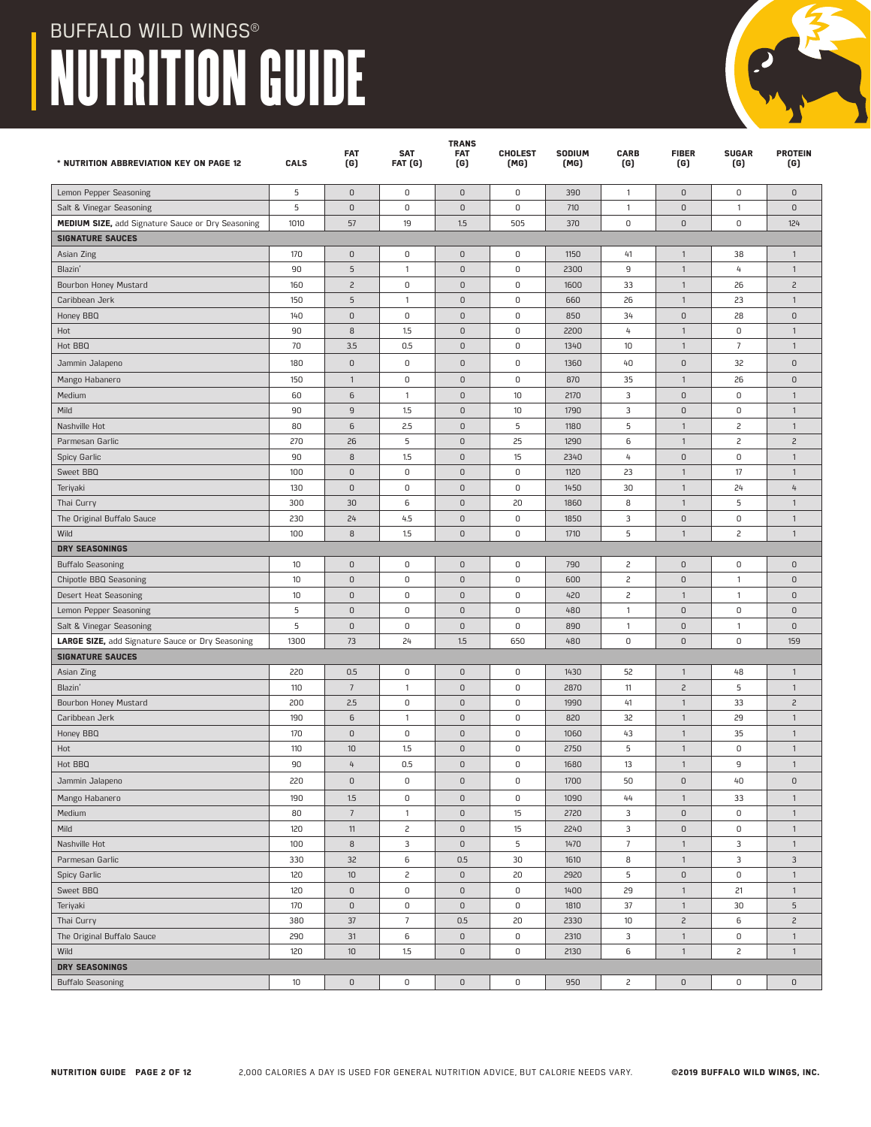| * NUTRITION ABBREVIATION KEY ON PAGE 12           | CALS       | <b>FAT</b><br>(G) | <b>SAT</b><br>FAT (G) | <b>TRANS</b><br><b>FAT</b><br>(G) | <b>CHOLEST</b><br>(MG) | SODIUM<br>(MG) | <b>CARB</b><br>(G) | <b>FIBER</b><br>(G) | <b>SUGAR</b><br>(G) | <b>PROTEIN</b><br>(G) |
|---------------------------------------------------|------------|-------------------|-----------------------|-----------------------------------|------------------------|----------------|--------------------|---------------------|---------------------|-----------------------|
|                                                   |            |                   |                       |                                   |                        |                |                    |                     |                     |                       |
| Lemon Pepper Seasoning                            | 5          | $\mathsf 0$       | 0                     | $\mathsf D$                       | 0                      | 390            | $\mathbf{1}$       | $\mathsf 0$         | 0                   | 0                     |
| Salt & Vinegar Seasoning                          | 5          | $\mathsf 0$       | 0                     | $\mathsf D$                       | $\mathsf 0$            | 710            | $\mathbf{1}$       | $\mathsf 0$         | $\mathbf{1}$        | $\mathbf{0}$          |
| MEDIUM SIZE, add Signature Sauce or Dry Seasoning | 1010       | 57                | 19                    | 1.5                               | 505                    | 370            | 0                  | $\mathsf 0$         | $\mathsf 0$         | 124                   |
| <b>SIGNATURE SAUCES</b>                           |            |                   |                       |                                   |                        |                |                    |                     |                     |                       |
| Asian Zing                                        | 170        | 0                 | 0                     | $\mathsf D$                       | 0                      | 1150           | 41                 | $\mathbf{1}$        | 38                  | $\mathbf{1}$          |
| Blazin'                                           | 90         | 5                 | $\mathbf{1}$          | $\mathsf D$                       | $\mathsf 0$            | 2300           | 9                  | $\mathbf{1}$        | 4                   | $\mathbf{1}$          |
| Bourbon Honey Mustard                             | 160        | $\overline{c}$    | 0                     | $\mathsf D$                       | $\mathsf 0$            | 1600           | 33                 | $\mathbf{1}$        | 26                  | $\overline{c}$        |
| Caribbean Jerk                                    | 150        | 5                 | $\mathbf{1}$          | $\mathsf D$                       | $\mathsf 0$            | 660            | 26                 | $\mathbf{1}$        | 23                  | $\mathbf{1}$          |
| Honey BBQ                                         | 140        | $\mathsf 0$       | 0                     | $\mathsf D$                       | $\mathsf 0$            | 850            | 34                 | $\mathsf 0$         | 28                  | $\mathsf D$           |
| Hot                                               | 90         | 8                 | 1.5                   | $\mathsf D$                       | $\mathsf 0$            | 2200           | 4                  | $\mathbf{1}$        | 0                   | $\mathbf{1}$          |
| Hot BBQ                                           | 70         | 3.5               | 0.5                   | $\mathsf D$                       | $\mathsf 0$            | 1340           | 10                 | $\mathbf{1}$        | $\overline{7}$      | $\mathbf{1}$          |
| Jammin Jalapeno                                   | 180        | $\mathsf 0$       | 0                     | $\mathsf D$                       | $\mathsf 0$            | 1360           | 40                 | $\mathsf 0$         | 32                  | $\mathsf D$           |
| Mango Habanero                                    | 150        | $\mathbf{1}$      | 0                     | $\mathsf D$                       | $\mathsf 0$            | 870            | 35                 | $\mathbf{1}$        | 26                  | $\mathsf D$           |
| Medium                                            | 60         | 6                 | $\mathbf{1}$          | $\mathsf D$                       | 10                     | 2170           | 3                  | $\mathsf 0$         | 0                   | $\mathbf{1}$          |
| Mild                                              | 90         | 9                 | 1.5                   | $\mathsf D$                       | 10                     | 1790           | 3                  | $\mathsf 0$         | 0                   | $\mathbf{1}$          |
| Nashville Hot                                     | 80         | 6                 | 2.5                   | $\mathsf D$                       | 5                      | 1180           | 5                  | $\mathbf{1}$        | $\overline{c}$      | $\mathbf{1}$          |
| Parmesan Garlic                                   | 270        | 26                | 5                     | $\mathsf D$                       | 25                     | 1290           | 6                  | $\mathbf{1}$        | $\overline{c}$      | $\overline{c}$        |
| Spicy Garlic                                      | 90         | 8                 | 1.5                   | $\mathsf D$                       | 15                     | 2340           | $\overline{4}$     | $\mathsf 0$         | 0                   | $\mathbf{1}$          |
| Sweet BBQ                                         | 100        | $\mathsf 0$       | 0                     | $\mathsf D$                       | $\mathsf 0$            | 1120           | 23                 | $\mathbf{1}$        | 17                  | $\mathbf{1}$          |
| Teriyaki                                          | 130        | $\mathsf 0$       | $\mathsf 0$           | $\mathsf D$                       | 0                      | 1450           | 30                 | $\mathbf{1}$        | 24                  | 4                     |
| Thai Curry                                        | 300        | 30                | 6                     | $\mathsf D$                       | 20                     | 1860           | 8                  | $\mathbf{1}$        | 5                   | $\mathbf{1}$          |
| The Original Buffalo Sauce                        | 230        | 24                | 4.5                   | $\mathsf D$                       | $\mathsf 0$            | 1850           | 3                  | $\mathsf 0$         | 0                   | $\overline{1}$        |
| Wild                                              | 100        | 8                 | 1.5                   | $\mathsf D$                       | $\mathsf 0$            | 1710           | 5                  | $\mathbf{1}$        | $\overline{c}$      | $\mathbf{1}$          |
| <b>DRY SEASONINGS</b>                             |            |                   |                       |                                   |                        |                |                    |                     |                     |                       |
| <b>Buffalo Seasoning</b>                          | 10         | $\mathsf 0$       | 0                     | $\mathsf 0$                       | 0                      | 790            | 2                  | $\mathsf 0$         | 0                   | $\mathsf D$           |
| Chipotle BBQ Seasoning                            | 10         | $\mathsf 0$       | 0                     | $\mathsf D$                       | $\mathsf 0$            | 600            | $\overline{c}$     | $\mathsf 0$         | $\mathbf{1}$        | $\mathsf D$           |
| Desert Heat Seasoning                             | 10         | $\mathsf 0$       | $\mathsf 0$           | $\mathsf D$                       | $\mathsf 0$            | 420            | 2                  | $\mathbf{1}$        | $\mathbf{1}$        | $\mathsf D$           |
| Lemon Pepper Seasoning                            | 5          | $\mathsf D$       | 0                     | $\mathsf D$                       | $\mathsf 0$            | 480            | $\overline{1}$     | $\mathsf 0$         | 0                   | 0                     |
| Salt & Vinegar Seasoning                          | $\sqrt{5}$ | $\mathsf 0$       | $\mathsf 0$           | $\mathsf D$                       | $\mathsf 0$            | 890            | $\mathbf{1}$       | $\mathsf 0$         | $\mathbf{1}$        | $\mathsf D$           |
| LARGE SIZE, add Signature Sauce or Dry Seasoning  | 1300       | 73                | 24                    | 1.5                               | 650                    | 480            | 0                  | $\mathsf 0$         | 0                   | 159                   |
| <b>SIGNATURE SAUCES</b>                           |            |                   |                       |                                   |                        |                |                    |                     |                     |                       |
| Asian Zing                                        | 220        | 0.5               | $\mathsf 0$           | $\mathsf D$                       | $\mathsf 0$            | 1430           | 52                 | $\mathbf{1}$        | 48                  | $\overline{1}$        |
| Blazin'                                           | 110        | $7\overline{ }$   | $\mathbf{1}$          | $\mathsf 0$                       | $\mathsf 0$            | 2870           | 11                 | $\overline{c}$      | 5                   | $\mathbf{1}$          |
| Bourbon Honey Mustard                             | 200        | 2.5               | 0                     | $\mathsf D$                       | 0                      | 1990           | 41                 | $\mathbf{1}$        | 33                  | $\overline{c}$        |
| Caribbean Jerk                                    | 190        | 6                 | $\mathbf{1}$          | $\mathsf D$                       | 0                      | 820            | 32                 | $\mathbf{1}$        | 29                  | $\overline{1}$        |
| Honey BBQ                                         | 170        | 0                 | 0                     | $\mathsf 0$                       | 0                      | 1060           | 43                 | $\mathbf{1}$        | 35                  | $\mathbf{1}$          |
| Hot                                               | 110        | 10                | 1.5                   | $\mathsf D$                       | 0                      | 2750           | 5                  | $\mathbf{1}$        | 0                   | $\overline{1}$        |
| Hot BBQ                                           | 90         | 4                 | 0.5                   | $\mathsf 0$                       | 0                      | 1680           | 13                 | $\mathbf{1}$        | 9                   | $\mathbf{1}$          |
| Jammin Jalapeno                                   | 220        | $\mathsf 0$       | U                     | $\cup$                            | 0                      | 1700           | 50                 | 0                   | 40                  | 0                     |
| Mango Habanero                                    | 190        | 1.5               | 0                     | $\mathsf 0$                       | 0                      | 1090           | 44                 | $\mathbf{1}$        | 33                  | $\mathbf{1}$          |
| Medium                                            | 80         | $\boldsymbol{7}$  | $\mathbf{1}$          | $\mathsf 0$                       | 15                     | 2720           | 3                  | $\mathsf 0$         | $\mathsf 0$         | $\mathbf{1}$          |
| Mild                                              | 120        | $11\,$            | $\overline{c}$        | $\mathsf 0$                       | 15                     | 2240           | 3                  | $\mathsf 0$         | $\mathsf D$         | $\mathbf{1}$          |
| Nashville Hot                                     | 100        | 8                 | 3                     | $\mathsf D$                       | 5                      | 1470           | $\overline{7}$     | $\mathbf{1}$        | 3                   | $\mathbf{1}$          |
| Parmesan Garlic                                   | 330        | 32                | 6                     | 0.5                               | 30                     | 1610           | 8                  | $\mathbf{1}$        | 3                   | $\mathbf{3}$          |
| Spicy Garlic                                      | 120        | 10                | $\overline{c}$        | $\mathsf D$                       | 20                     | 2920           | $\sqrt{5}$         | $\mathsf D$         | $\mathsf D$         | $\mathbf{1}$          |
| Sweet BBQ                                         | 120        | 0                 | $\mathsf 0$           | $\mathsf 0$                       | $\mathsf 0$            | 1400           | 29                 | $\mathbbm{1}$       | 21                  | $\mathbf{1}$          |
| Teriyaki                                          | 170        | $\mathsf 0$       | $\mathsf 0$           | $\mathsf 0$                       | $\mathsf 0$            | 1810           | $37\,$             | $\mathbf{1}$        | 30                  | $\overline{5}$        |
| Thai Curry                                        | 380        | 37                | $7\phantom{.0}$       | 0.5                               | 20                     | 2330           | 10                 | $\mathsf{S}$        | 6                   | $\overline{c}$        |
| The Original Buffalo Sauce                        | 290        | 31                | 6                     | $\mathsf 0$                       | 0                      | 2310           | $\mathbf{3}$       | $\mathbf{1}$        | $\mathsf D$         | $\mathbf{1}$          |
| Wild                                              | 120        | $10$              | 1.5                   | $\mathsf 0$                       | 0                      | 2130           | 6                  | $\mathbf{1}$        | $\overline{c}$      | $\mathbf{1}$          |
| <b>DRY SEASONINGS</b>                             |            |                   |                       |                                   |                        |                |                    |                     |                     |                       |
| <b>Buffalo Seasoning</b>                          | $10$       | $\mathsf D$       | $\mathsf 0$           | $\mathsf D$                       | 0                      | 950            | $\overline{c}$     | $\mathsf{O}\xspace$ | $\mathsf D$         | $\mathsf 0$           |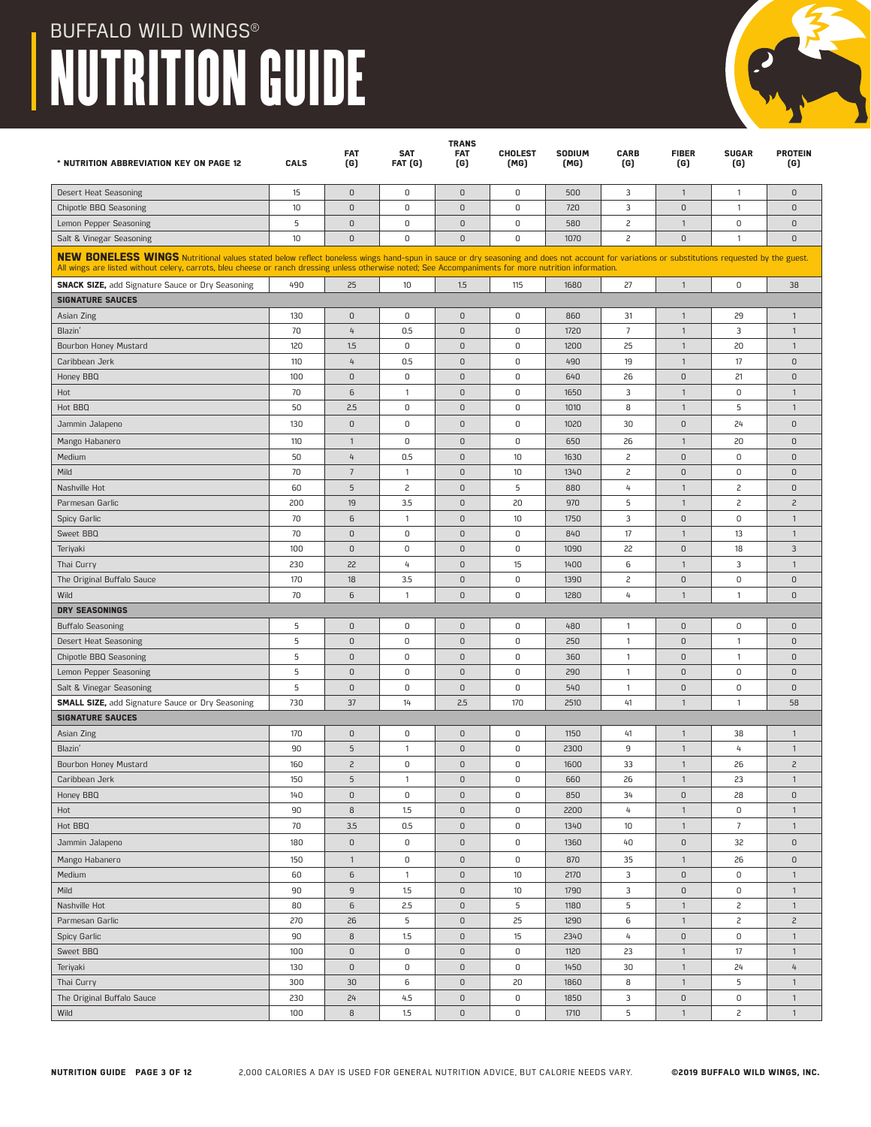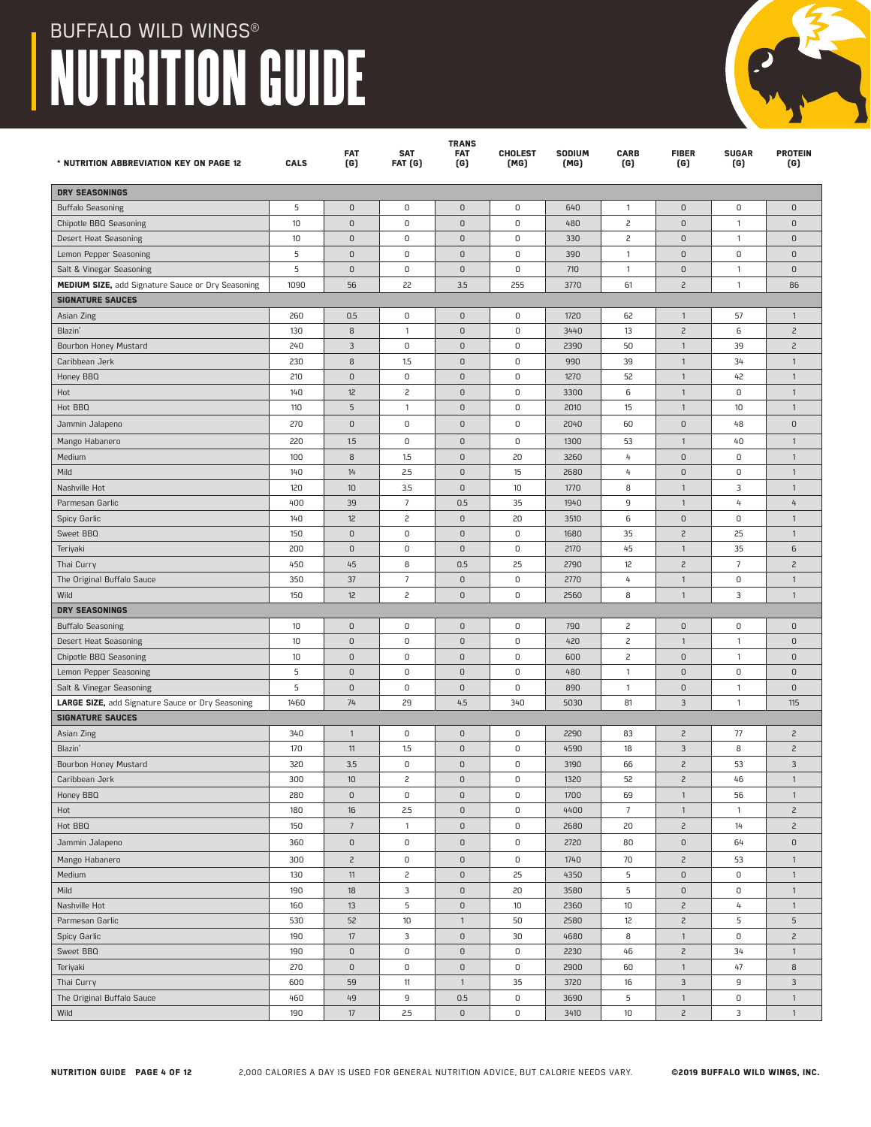| * NUTRITION ABBREVIATION KEY ON PAGE 12           | <b>CALS</b> | <b>FAT</b><br>(G)   | <b>SAT</b><br><b>FAT (G)</b> | <b>TRANS</b><br><b>FAT</b><br>(G) | <b>CHOLEST</b><br>(MG) | SODIUM<br>(MG) | <b>CARB</b><br>(G) | <b>FIBER</b><br>(G)           | <b>SUGAR</b><br>(G) | <b>PROTEIN</b><br>(G)            |
|---------------------------------------------------|-------------|---------------------|------------------------------|-----------------------------------|------------------------|----------------|--------------------|-------------------------------|---------------------|----------------------------------|
| <b>DRY SEASONINGS</b>                             |             |                     |                              |                                   |                        |                |                    |                               |                     |                                  |
| <b>Buffalo Seasoning</b>                          | 5           | 0                   | 0                            | $\mathsf 0$                       | 0                      | 640            | $\mathbf{1}$       | $\mathsf D$                   | 0                   | $\mathsf 0$                      |
| Chipotle BBQ Seasoning                            | 10          | $\mathsf D$         | 0                            | $\mathsf D$                       | 0                      | 480            | 2                  | $\mathsf D$                   | $\overline{1}$      | $\mathsf 0$                      |
| Desert Heat Seasoning                             | 10          | 0                   | 0                            | $\mathsf 0$                       | 0                      | 330            | 2                  | $\cup$                        | $\mathbf{1}$        | $\mathsf 0$                      |
| Lemon Pepper Seasoning                            | 5           | O                   | 0                            | $\mathsf D$                       | 0                      | 390            | $\mathbf{1}$       | $\mathsf D$                   | 0                   | $\mathbf{0}$                     |
| Salt & Vinegar Seasoning                          | 5           | 0                   | 0                            | $\mathsf D$                       | 0                      | 710            | $\mathbf{1}$       | $\mathsf 0$                   | $\mathbf{1}$        | $\mathsf 0$                      |
| MEDIUM SIZE, add Signature Sauce or Dry Seasoning | 1090        | 56                  | 22                           | 3.5                               | 255                    | 3770           | 61                 | $\overline{c}$                | $\mathbf{1}$        | 86                               |
| <b>SIGNATURE SAUCES</b>                           |             |                     |                              |                                   |                        |                |                    |                               |                     |                                  |
| Asian Zing                                        | 260         | 0.5                 | 0                            | $\mathsf 0$                       | 0                      | 1720           | 62                 | $\mathbf{1}$                  | 57                  | $\mathbf{1}$                     |
| Blazin'                                           | 130         | 8                   | $\mathbf{1}$                 | $\mathsf D$                       | 0                      | 3440           | 13                 | $\overline{c}$                | 6                   | $\overline{c}$                   |
| Bourbon Honey Mustard                             | 240         | $\mathbf{3}$        | $\mathsf 0$                  | $\mathsf D$                       | 0                      | 2390           | 50                 | $\mathbf{1}$                  | 39                  | $\overline{c}$                   |
| Caribbean Jerk                                    | 230         | 8                   | 1.5                          | $\mathsf 0$                       | 0                      | 990            | 39                 | $\mathbf{1}$                  | 34                  | $\mathbf{1}$                     |
| Honey BBQ                                         | 210         | $\mathsf D$         | $\mathsf 0$                  | $\mathsf D$                       | 0                      | 1270           | 52                 | $\mathbf{1}$                  | 42                  | $\overline{1}$                   |
| Hot                                               | 140         | 12                  | 2                            | $\mathsf 0$                       | 0                      | 3300           | 6                  | $\mathbf{1}$                  | 0                   | $\mathbf{1}$                     |
| Hot BBQ                                           | 110         | 5                   | $\mathbf{1}$                 | $\mathsf D$                       | 0                      | 2010           | 15                 | $\mathbf{1}$                  | 10                  | $\mathbf{1}$                     |
| Jammin Jalapeno                                   | 270         | 0                   | 0                            | $\mathsf D$                       | 0                      | 2040           | 60                 | $\mathsf D$                   | 48                  | $\mathsf 0$                      |
| Mango Habanero                                    | 220         | 1.5                 | 0                            | $\mathsf 0$                       | 0                      | 1300           | 53                 | $\mathbf{1}$                  | 40                  | $\mathbf{1}$                     |
| Medium                                            | 100         | 8                   | 1.5                          | $\mathsf D$                       | 20                     | 3260           | $\overline{4}$     | $\mathsf D$                   | 0                   | $\mathbf{1}$                     |
| Mild                                              | 140         | 14                  | 2.5                          | $\mathsf 0$                       | 15                     | 2680           | 4                  | $\mathsf D$                   | 0                   | $\mathbf{1}$                     |
| Nashville Hot                                     | 120         | 10                  | 3.5                          | $\mathsf D$                       | 10                     | 1770           | 8                  | $\mathbf{1}$                  | 3                   | $\mathbf{1}$                     |
| Parmesan Garlic                                   | 400         | 39                  | $\overline{7}$               | 0.5                               | 35                     | 1940           | 9                  | $\mathbf{1}$                  | 4                   | 4                                |
| Spicy Garlic                                      | 140         | 12                  | $\overline{c}$               | $\mathsf 0$                       | 20                     | 3510           | 6                  | $\mathsf D$                   | 0                   | $\mathbf{1}$                     |
| Sweet BBQ                                         | 150         | 0                   | 0                            | $\mathsf D$                       | 0                      | 1680           | 35                 | $\overline{c}$                | 25                  | $\mathbf{1}$                     |
| Teriyaki                                          | 200         | 0                   | 0                            | $\mathsf 0$                       | 0                      | 2170           | 45                 | $\mathbf{1}$                  | 35                  | 6                                |
| Thai Curry                                        | 450         | 45                  | 8                            | 0.5                               | 25                     | 2790           | 12                 | $\overline{c}$                | $\overline{7}$      | $\overline{c}$                   |
| The Original Buffalo Sauce                        | 350         | 37                  | $\overline{7}$               | $\mathsf 0$                       | 0                      | 2770           | 4                  | $\mathbf{1}$                  | 0                   | $\mathbf{1}$                     |
| Wild                                              | 150         | 12                  | $\overline{c}$               | $\mathsf 0$                       | 0                      | 2560           | 8                  | $\mathbf{1}$                  | 3                   | $\mathbf{1}$                     |
| <b>DRY SEASONINGS</b>                             |             |                     |                              |                                   |                        |                |                    |                               |                     |                                  |
| <b>Buffalo Seasoning</b>                          | 10          | 0                   | 0                            | $\mathsf 0$                       | 0                      | 790            | 2                  | $\mathsf D$                   | 0                   | $\mathsf 0$                      |
| Desert Heat Seasoning                             | 10          | $\mathsf D$         | $\mathsf 0$                  | $\mathsf D$                       | 0                      | 420            | 2                  | $\mathbf{1}$                  | $\overline{1}$      | $\mathsf 0$                      |
| Chipotle BBQ Seasoning                            | 10          | $\mathsf D$         | 0                            | $\mathsf 0$                       | 0                      | 600            | 2                  | $\mathsf D$                   | $\mathbf{1}$        | $\mathsf 0$                      |
| Lemon Pepper Seasoning                            | 5           | 0                   | 0                            | $\mathsf D$                       | 0                      | 480            | $\overline{1}$     | $\mathsf D$                   | 0                   | $\mathsf 0$                      |
| Salt & Vinegar Seasoning                          | 5           | 0                   | 0                            | $\mathsf D$                       | 0                      | 890            | $\mathbf{1}$       | $\mathsf D$                   | $\mathbf{1}$        | $\mathsf 0$                      |
| LARGE SIZE, add Signature Sauce or Dry Seasoning  | 1460        | 74                  | 29                           | 4.5                               | 340                    | 5030           | 81                 | 3                             | $\mathbf{1}$        | 115                              |
| <b>SIGNATURE SAUCES</b>                           |             |                     |                              | $\mathsf 0$                       | 0                      |                |                    | $\overline{c}$                |                     |                                  |
| Asian Zing<br>Blazin'                             | 340<br>170  | $\mathbf{1}$        | 0                            | $\mathsf D$                       | 0                      | 2290<br>4590   | 83<br>18           | 3                             | 77<br>8             | $\overline{c}$<br>$\overline{c}$ |
| Bourbon Honey Mustard                             | 320         | 11<br>3.5           | 1.5<br>0                     | $\mathsf D$                       | 0                      | 3190           | 66                 | $\overline{c}$                | 53                  | 3                                |
| Caribbean Jerk                                    | 300         | 10                  | 2                            | $\mathsf 0$                       | 0                      | 1320           | 52                 | $\overline{c}$                | 46                  | $\mathbf{1}$                     |
| Honey BBQ                                         | 280         | $\mathsf 0$         | $\mathsf 0$                  | $\mathsf 0$                       | 0                      | 1700           | 69                 | $\mathbf{1}$                  | 56                  | $\mathbf{1}$                     |
| Hot                                               | 180         | 16                  | 2.5                          | $\mathsf 0$                       | 0                      | 4400           | $\overline{7}$     | $\mathbf{1}$                  | $\mathbf{1}$        | $\overline{c}$                   |
| Hot BBQ                                           | 150         | $\overline{7}$      | $\mathbf{1}$                 | $\mathsf{O}$                      | $\mathsf 0$            | 2680           | 20                 | $\overline{c}$                | 14                  | $\overline{c}$                   |
| Jammin Jalapeno                                   | 360         | $\mathsf 0$         | $\mathsf 0$                  | $\mathsf 0$                       | 0                      | 2720           | 80                 | $\mathsf D$                   | 64                  | $\mathsf 0$                      |
|                                                   |             |                     |                              |                                   |                        |                |                    |                               |                     |                                  |
| Mango Habanero                                    | 300         | $\overline{c}$      | 0<br>$\overline{c}$          | $\mathsf D$<br>$\mathsf 0$        | 0<br>25                | 1740           | 70<br>5            | $\overline{c}$                | 53<br>$\mathsf D$   | $\mathbf{1}$<br>$\mathbf{1}$     |
| Medium                                            | 130         | 11                  |                              |                                   |                        | 4350           | 5                  | $\mathsf D$                   |                     |                                  |
| Mild<br>Nashville Hot                             | 190<br>160  | 18<br>13            | 3<br>5                       | $\mathsf D$<br>$\mathsf D$        | 20<br>10               | 3580<br>2360   | $10$               | $\mathsf D$<br>$\overline{c}$ | 0<br>4              | $\mathbf{1}$<br>$\mathbf{1}$     |
| Parmesan Garlic                                   | 530         | 52                  | 10                           | $\mathbf{1}$                      | 50                     | 2580           | 12                 | $\overline{c}$                | 5                   | $\sqrt{5}$                       |
|                                                   | 190         | 17                  | 3                            | $\mathsf 0$                       | 30                     | 4680           | 8                  | $\mathbf{1}$                  | $\mathsf 0$         | $\overline{c}$                   |
| Spicy Garlic<br>Sweet BBQ                         | 190         | $\mathsf 0$         | $\mathsf 0$                  | $\mathsf 0$                       | 0                      | 2230           | 46                 | $\overline{c}$                | 34                  | $\mathbf{1}$                     |
| Teriyaki                                          | 270         | $\mathsf{O}\xspace$ | $\mathsf 0$                  | $\mathsf D$                       | 0                      | 2900           | 60                 | $\mathbf{1}$                  | 47                  | 8                                |
| Thai Curry                                        | 600         | 59                  | 11                           | $\mathbf{1}$                      | 35                     | 3720           | 16                 | $\mathbf{3}$                  | 9                   | $\ensuremath{\mathsf{3}}$        |
| The Original Buffalo Sauce                        | 460         | 49                  | 9                            | 0.5                               | 0                      | 3690           | 5                  | $\mathbf{1}$                  | $\mathsf D$         | $\mathbf{1}$                     |
| Wild                                              | 190         | $17\,$              | 2.5                          | $\mathsf 0$                       | 0                      | 3410           | 10                 | $\overline{c}$                | 3                   | $\mathbf{1}$                     |
|                                                   |             |                     |                              |                                   |                        |                |                    |                               |                     |                                  |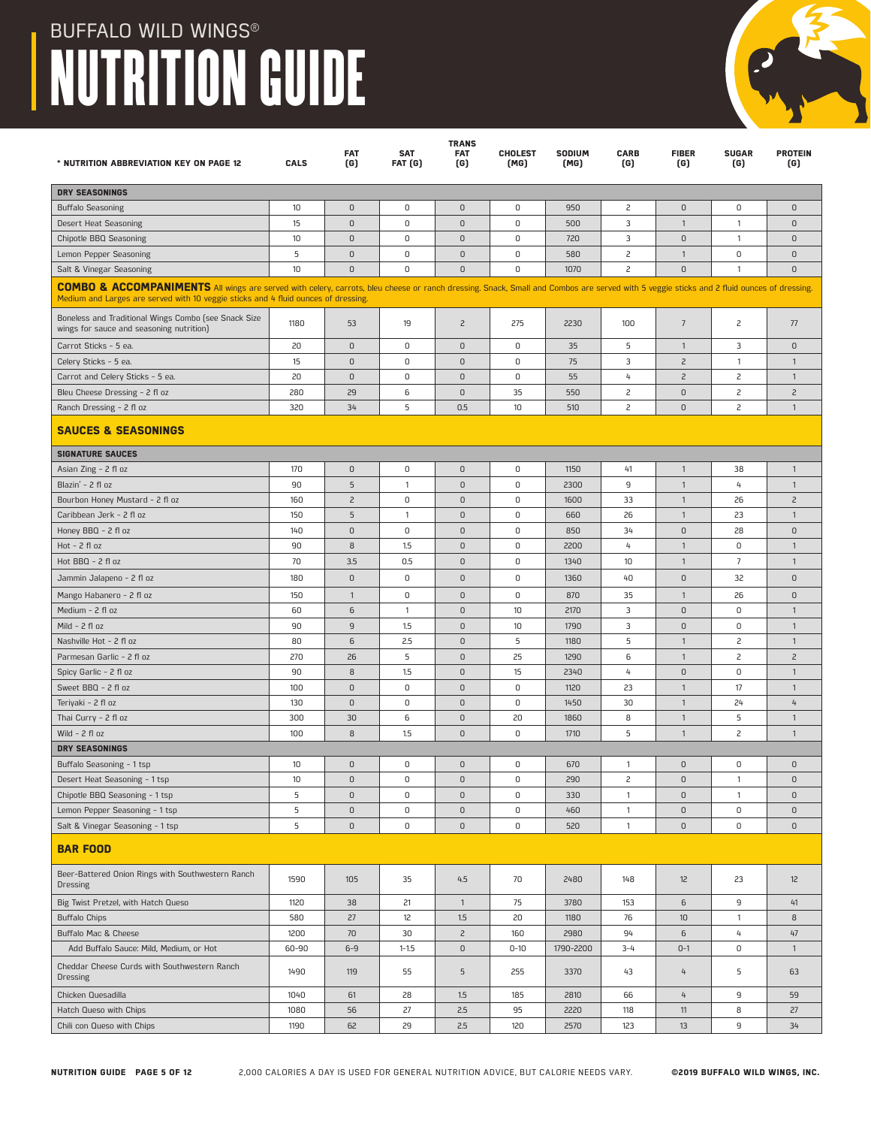

| <b>DRY SEASONINGS</b><br>$\mathsf 0$<br>10<br>$\mathsf 0$<br>0<br>$\mathsf D$<br>0<br>950<br>2<br>0<br>$\mathsf D$<br><b>Buffalo Seasoning</b><br>$\mathsf 0$<br>0<br>$\mathsf D$<br>0<br>3<br>Desert Heat Seasoning<br>15<br>500<br>$\mathbf{1}$<br>$\overline{1}$<br>$\mathbf{0}$<br>$\mathsf 0$<br>$\mathsf 0$<br>3<br>$\mathsf D$<br>Chipotle BBQ Seasoning<br>10<br>0<br>$\mathsf D$<br>720<br>$\mathbf{0}$<br>$\overline{1}$<br>5<br>$\mathsf D$<br>0<br>$\mathsf 0$<br>2<br>0<br>Lemon Pepper Seasoning<br>$\mathbf{0}$<br>580<br>$\mathbf{1}$<br>$\mathbf{0}$<br>10<br>$\mathsf 0$<br>0<br>0<br>2<br>$\mathsf D$<br>Salt & Vinegar Seasoning<br>$\mathbf{0}$<br>1070<br>$\mathbf{1}$<br>$\mathbf{0}$<br>COMBO & ACCOMPANIMENTS All wings are served with celery, carrots, bleu cheese or ranch dressing. Snack, Small and Combos are served with 5 veggie sticks and 2 fluid ounces of dressing.<br>Medium and Larges are served with 10 veggie sticks and 4 fluid ounces of dressing.<br>Boneless and Traditional Wings Combo (see Snack Size<br>1180<br>53<br>$\overline{c}$<br>275<br>2230<br>100<br>$\overline{7}$<br>$\overline{c}$<br>77<br>19<br>wings for sauce and seasoning nutrition)<br>0<br>Carrot Sticks - 5 ea.<br>20<br>$\mathsf 0$<br>0<br>0<br>35<br>5<br>$\mathbf{1}$<br>3<br>0<br>15<br>$\mathbf 0$<br>0<br>$\mathsf D$<br>$\mathsf 0$<br>75<br>3<br>$\overline{c}$<br>$\overline{1}$<br>Celery Sticks - 5 ea.<br>$\overline{1}$<br>$\mathsf 0$<br>0<br>$\mathsf D$<br>0<br>4<br>$\overline{c}$<br>$\overline{c}$<br>Carrot and Celery Sticks - 5 ea.<br>20<br>55<br>$\mathbf{1}$<br>280<br>2<br>$\mathsf 0$<br>$\overline{c}$<br>$\overline{c}$<br>Bleu Cheese Dressing - 2 fl oz<br>29<br>6<br>$\mathsf D$<br>35<br>550<br>$\overline{c}$<br>5<br>0.5<br>10<br>2<br>$\mathsf 0$<br>Ranch Dressing - 2 fl oz<br>320<br>34<br>510<br>$\mathbf{1}$<br><b>SAUCES &amp; SEASONINGS</b><br><b>SIGNATURE SAUCES</b><br>Asian Zing - 2 fl oz<br>170<br>0<br>0<br>$\mathsf D$<br>0<br>41<br>38<br>1150<br>$\mathbf{1}$<br>$\mathbf{1}$<br>5<br>$\mathsf 0$<br>9<br>Blazin' - 2 fl oz<br>90<br>$\mathbf{1}$<br>$\mathbf{0}$<br>2300<br>$\overline{1}$<br>4<br>$\mathbf{1}$<br>160<br>0<br>0<br>33<br>Bourbon Honey Mustard - 2 fl oz<br>$\overline{c}$<br>0<br>1600<br>$\mathbf{1}$<br>26<br>$\overline{c}$<br>150<br>5<br>$\mathsf D$<br>$\mathsf 0$<br>26<br>$\mathbf{1}$<br>23<br>Caribbean Jerk - 2 fl oz<br>$\mathbf{1}$<br>660<br>$\mathbf{1}$<br>$\mathsf 0$<br>0<br>$\mathsf D$<br>0<br>34<br>$\mathsf D$<br>$\overline{0}$<br>Honey BBQ - 2 fl oz<br>140<br>850<br>28<br>8<br>0<br>0<br>$Hot - 2 fl oz$<br>90<br>1.5<br>$\mathsf 0$<br>2200<br>4<br>$\mathbf{1}$<br>$\mathbf{1}$<br>70<br>$\mathbf{0}$<br>$\mathsf 0$<br>Hot BBQ - 2 fl oz<br>3.5<br>0.5<br>1340<br>10<br>$\mathbf{1}$<br>$\overline{7}$<br>$\mathbf{1}$<br>$\mathbf 0$<br>0<br>$\mathsf 0$<br>40<br>$\mathsf D$<br>32<br>180<br>0<br>0<br>Jammin Jalapeno - 2 fl oz<br>1360<br>$\mathsf D$<br>$\mathsf 0$<br>35<br>$\mathbf{0}$<br>150<br>$\mathbf{1}$<br>0<br>870<br>$\mathbf{1}$<br>26<br>Mango Habanero - 2 fl oz<br>3<br>6<br>$\mathsf D$<br>0<br>Medium - 2 fl oz<br>60<br>$\mathbf{1}$<br>$\mathbf{0}$<br>10<br>2170<br>$\mathbf{1}$<br>90<br>$\overline{9}$<br>1.5<br>$\mathsf 0$<br>10<br>3<br>$\mathsf 0$<br>$\mathsf 0$<br>Mild - $2$ fl oz<br>1790<br>$\mathbf{1}$<br>80<br>6<br>2.5<br>$\mathsf D$<br>5<br>5<br>$\overline{c}$<br>Nashville Hot - 2 fl oz<br>1180<br>$\mathbf{1}$<br>$\mathbf{1}$<br>270<br>26<br>5<br>$\mathsf D$<br>25<br>1290<br>$\mathbf{1}$<br>2<br>$\overline{c}$<br>Parmesan Garlic - 2 fl oz<br>6<br>1.5<br>$\mathsf D$<br>15<br>4<br>$\mathsf 0$<br>0<br>90<br>8<br>Spicy Garlic - 2 fl oz<br>2340<br>$\mathbf{1}$<br>100<br>$\mathsf 0$<br>0<br>$\overline{0}$<br>0<br>23<br>17<br>Sweet BBQ - 2 fl oz<br>1120<br>$\mathbf{1}$<br>$\mathbf{1}$<br>0<br>$\mathsf D$<br>$\mathsf 0$<br>30<br>$\mathbf{1}$<br>Teriyaki - 2 fl oz<br>130<br>$\mathsf 0$<br>1450<br>24<br>4<br>300<br>30<br>6<br>$\mathsf D$<br>20<br>8<br>$\mathbf{1}$<br>5<br>Thai Curry - 2 fl oz<br>1860<br>$\mathbf{1}$<br>Wild $- 2$ fl oz<br>8<br>1.5<br>$\mathsf D$<br>$\mathsf 0$<br>1710<br>$\mathbf{1}$<br>$\overline{c}$<br>100<br>5<br>$\mathbf{1}$<br><b>DRY SEASONINGS</b><br>10<br>0<br>0<br>$\mathbf{0}$<br>0<br>670<br>$\mathbf{1}$<br>$\mathsf 0$<br>0<br>$\mathbf{0}$<br>Buffalo Seasoning - 1 tsp<br>10<br>0<br>$\mathsf 0$<br>$\mathsf 0$<br>290<br>2<br>$\mathsf D$<br>Desert Heat Seasoning - 1 tsp<br>$\mathsf D$<br>$\mathsf 0$<br>$\mathbf{1}$<br>5<br>$\mathsf 0$<br>Chipotle BBQ Seasoning - 1 tsp<br>$\mathsf 0$<br>0<br>$\mathsf D$<br>330<br>$\mathbf{1}$<br>$\mathsf 0$<br>$\mathbf{1}$<br>$\mathbf{0}$<br>Lemon Pepper Seasoning - 1 tsp<br>5<br>$\mathsf D$<br>0<br>$\mathsf D$<br>$\mathsf 0$<br>460<br>$\mathsf D$<br>$\mathsf 0$<br>$\mathsf D$<br>1<br>5<br>$\mathsf 0$<br>$\mathsf D$<br>0<br>$\mathsf D$<br>$\mathsf D$<br>0<br>Salt & Vinegar Seasoning - 1 tsp<br>520<br>1<br>$\mathbf 0$<br><b>BAR FOOD</b><br>Beer-Battered Onion Rings with Southwestern Ranch<br>1590<br>105<br>35<br>4.5<br>70<br>2480<br>148<br>12<br>23<br>12<br><b>Dressing</b><br>Big Twist Pretzel, with Hatch Queso<br>$\mathbf{1}$<br>75<br>3780<br>153<br>6<br>9<br>41<br>1120<br>38<br>21<br>27<br>12<br>1.5<br>20<br>76<br>10<br>8<br><b>Buffalo Chips</b><br>580<br>1180<br>$\mathbf{1}$<br>Buffalo Mac & Cheese<br>1200<br>70<br>30<br>$\overline{c}$<br>160<br>94<br>6<br>4<br>47<br>2980<br>Add Buffalo Sauce: Mild, Medium, or Hot<br>60-90<br>$6-9$<br>$\mathsf D$<br>$0 - 10$<br>1790-2200<br>$3 - 4$<br>$0 - 1$<br>0<br>$1 - 1.5$<br>$\mathbf{1}$<br>Cheddar Cheese Curds with Southwestern Ranch<br>1490<br>119<br>55<br>5<br>255<br>3370<br>43<br>4<br>5<br>63<br><b>Dressing</b><br>28<br>185<br>9<br>Chicken Quesadilla<br>1040<br>61<br>1.5<br>2810<br>66<br>4<br>59<br>Hatch Queso with Chips<br>1080<br>27<br>2.5<br>95<br>118<br>8<br>56<br>2220<br>11<br>27<br>Chili con Queso with Chips<br>1190<br>62<br>29<br>2.5<br>120<br>123<br>13<br>9<br>34<br>2570 | * NUTRITION ABBREVIATION KEY ON PAGE 12 | CALS | <b>FAT</b><br>(G) | <b>SAT</b><br>FAT (G) | <b>TRANS</b><br><b>FAT</b><br>(G) | <b>CHOLEST</b><br>(MG) | SODIUM<br>(MG) | <b>CARB</b><br>(G) | <b>FIBER</b><br>(G) | <b>SUGAR</b><br>(G) | <b>PROTEIN</b><br>(G) |
|-------------------------------------------------------------------------------------------------------------------------------------------------------------------------------------------------------------------------------------------------------------------------------------------------------------------------------------------------------------------------------------------------------------------------------------------------------------------------------------------------------------------------------------------------------------------------------------------------------------------------------------------------------------------------------------------------------------------------------------------------------------------------------------------------------------------------------------------------------------------------------------------------------------------------------------------------------------------------------------------------------------------------------------------------------------------------------------------------------------------------------------------------------------------------------------------------------------------------------------------------------------------------------------------------------------------------------------------------------------------------------------------------------------------------------------------------------------------------------------------------------------------------------------------------------------------------------------------------------------------------------------------------------------------------------------------------------------------------------------------------------------------------------------------------------------------------------------------------------------------------------------------------------------------------------------------------------------------------------------------------------------------------------------------------------------------------------------------------------------------------------------------------------------------------------------------------------------------------------------------------------------------------------------------------------------------------------------------------------------------------------------------------------------------------------------------------------------------------------------------------------------------------------------------------------------------------------------------------------------------------------------------------------------------------------------------------------------------------------------------------------------------------------------------------------------------------------------------------------------------------------------------------------------------------------------------------------------------------------------------------------------------------------------------------------------------------------------------------------------------------------------------------------------------------------------------------------------------------------------------------------------------------------------------------------------------------------------------------------------------------------------------------------------------------------------------------------------------------------------------------------------------------------------------------------------------------------------------------------------------------------------------------------------------------------------------------------------------------------------------------------------------------------------------------------------------------------------------------------------------------------------------------------------------------------------------------------------------------------------------------------------------------------------------------------------------------------------------------------------------------------------------------------------------------------------------------------------------------------------------------------------------------------------------------------------------------------------------------------------------------------------------------------------------------------------------------------------------------------------------------------------------------------------------------------------------------------------------------------------------------------------------------------------------------------------------------------------------------------------------------------------------------------------------------------------------------------------------------------------------------------------------------------------------------------------------------------------------------------------------------------------------------------------------------------------------------------------------------------------------------------------------------------------------------------------------------------------------------------------------------------------------------------------------------------------------------------------------------------------------------------------------------------------------------------------------------------------------------------------------------------------------------------------------------------------------------------------------------------------------------------------------------------------------------------------------------------------------------------------------------------------------------------------------------------------------------------------------------------------------------------------------------------------------------------------------------------------------------------------------------------------------------------------------------------------------------------------------------------|-----------------------------------------|------|-------------------|-----------------------|-----------------------------------|------------------------|----------------|--------------------|---------------------|---------------------|-----------------------|
|                                                                                                                                                                                                                                                                                                                                                                                                                                                                                                                                                                                                                                                                                                                                                                                                                                                                                                                                                                                                                                                                                                                                                                                                                                                                                                                                                                                                                                                                                                                                                                                                                                                                                                                                                                                                                                                                                                                                                                                                                                                                                                                                                                                                                                                                                                                                                                                                                                                                                                                                                                                                                                                                                                                                                                                                                                                                                                                                                                                                                                                                                                                                                                                                                                                                                                                                                                                                                                                                                                                                                                                                                                                                                                                                                                                                                                                                                                                                                                                                                                                                                                                                                                                                                                                                                                                                                                                                                                                                                                                                                                                                                                                                                                                                                                                                                                                                                                                                                                                                                                                                                                                                                                                                                                                                                                                                                                                                                                                                                                                                                                                                                                                                                                                                                                                                                                                                                                                                                                                                                                                                                                       |                                         |      |                   |                       |                                   |                        |                |                    |                     |                     |                       |
|                                                                                                                                                                                                                                                                                                                                                                                                                                                                                                                                                                                                                                                                                                                                                                                                                                                                                                                                                                                                                                                                                                                                                                                                                                                                                                                                                                                                                                                                                                                                                                                                                                                                                                                                                                                                                                                                                                                                                                                                                                                                                                                                                                                                                                                                                                                                                                                                                                                                                                                                                                                                                                                                                                                                                                                                                                                                                                                                                                                                                                                                                                                                                                                                                                                                                                                                                                                                                                                                                                                                                                                                                                                                                                                                                                                                                                                                                                                                                                                                                                                                                                                                                                                                                                                                                                                                                                                                                                                                                                                                                                                                                                                                                                                                                                                                                                                                                                                                                                                                                                                                                                                                                                                                                                                                                                                                                                                                                                                                                                                                                                                                                                                                                                                                                                                                                                                                                                                                                                                                                                                                                                       |                                         |      |                   |                       |                                   |                        |                |                    |                     |                     |                       |
|                                                                                                                                                                                                                                                                                                                                                                                                                                                                                                                                                                                                                                                                                                                                                                                                                                                                                                                                                                                                                                                                                                                                                                                                                                                                                                                                                                                                                                                                                                                                                                                                                                                                                                                                                                                                                                                                                                                                                                                                                                                                                                                                                                                                                                                                                                                                                                                                                                                                                                                                                                                                                                                                                                                                                                                                                                                                                                                                                                                                                                                                                                                                                                                                                                                                                                                                                                                                                                                                                                                                                                                                                                                                                                                                                                                                                                                                                                                                                                                                                                                                                                                                                                                                                                                                                                                                                                                                                                                                                                                                                                                                                                                                                                                                                                                                                                                                                                                                                                                                                                                                                                                                                                                                                                                                                                                                                                                                                                                                                                                                                                                                                                                                                                                                                                                                                                                                                                                                                                                                                                                                                                       |                                         |      |                   |                       |                                   |                        |                |                    |                     |                     |                       |
|                                                                                                                                                                                                                                                                                                                                                                                                                                                                                                                                                                                                                                                                                                                                                                                                                                                                                                                                                                                                                                                                                                                                                                                                                                                                                                                                                                                                                                                                                                                                                                                                                                                                                                                                                                                                                                                                                                                                                                                                                                                                                                                                                                                                                                                                                                                                                                                                                                                                                                                                                                                                                                                                                                                                                                                                                                                                                                                                                                                                                                                                                                                                                                                                                                                                                                                                                                                                                                                                                                                                                                                                                                                                                                                                                                                                                                                                                                                                                                                                                                                                                                                                                                                                                                                                                                                                                                                                                                                                                                                                                                                                                                                                                                                                                                                                                                                                                                                                                                                                                                                                                                                                                                                                                                                                                                                                                                                                                                                                                                                                                                                                                                                                                                                                                                                                                                                                                                                                                                                                                                                                                                       |                                         |      |                   |                       |                                   |                        |                |                    |                     |                     |                       |
|                                                                                                                                                                                                                                                                                                                                                                                                                                                                                                                                                                                                                                                                                                                                                                                                                                                                                                                                                                                                                                                                                                                                                                                                                                                                                                                                                                                                                                                                                                                                                                                                                                                                                                                                                                                                                                                                                                                                                                                                                                                                                                                                                                                                                                                                                                                                                                                                                                                                                                                                                                                                                                                                                                                                                                                                                                                                                                                                                                                                                                                                                                                                                                                                                                                                                                                                                                                                                                                                                                                                                                                                                                                                                                                                                                                                                                                                                                                                                                                                                                                                                                                                                                                                                                                                                                                                                                                                                                                                                                                                                                                                                                                                                                                                                                                                                                                                                                                                                                                                                                                                                                                                                                                                                                                                                                                                                                                                                                                                                                                                                                                                                                                                                                                                                                                                                                                                                                                                                                                                                                                                                                       |                                         |      |                   |                       |                                   |                        |                |                    |                     |                     |                       |
|                                                                                                                                                                                                                                                                                                                                                                                                                                                                                                                                                                                                                                                                                                                                                                                                                                                                                                                                                                                                                                                                                                                                                                                                                                                                                                                                                                                                                                                                                                                                                                                                                                                                                                                                                                                                                                                                                                                                                                                                                                                                                                                                                                                                                                                                                                                                                                                                                                                                                                                                                                                                                                                                                                                                                                                                                                                                                                                                                                                                                                                                                                                                                                                                                                                                                                                                                                                                                                                                                                                                                                                                                                                                                                                                                                                                                                                                                                                                                                                                                                                                                                                                                                                                                                                                                                                                                                                                                                                                                                                                                                                                                                                                                                                                                                                                                                                                                                                                                                                                                                                                                                                                                                                                                                                                                                                                                                                                                                                                                                                                                                                                                                                                                                                                                                                                                                                                                                                                                                                                                                                                                                       |                                         |      |                   |                       |                                   |                        |                |                    |                     |                     |                       |
|                                                                                                                                                                                                                                                                                                                                                                                                                                                                                                                                                                                                                                                                                                                                                                                                                                                                                                                                                                                                                                                                                                                                                                                                                                                                                                                                                                                                                                                                                                                                                                                                                                                                                                                                                                                                                                                                                                                                                                                                                                                                                                                                                                                                                                                                                                                                                                                                                                                                                                                                                                                                                                                                                                                                                                                                                                                                                                                                                                                                                                                                                                                                                                                                                                                                                                                                                                                                                                                                                                                                                                                                                                                                                                                                                                                                                                                                                                                                                                                                                                                                                                                                                                                                                                                                                                                                                                                                                                                                                                                                                                                                                                                                                                                                                                                                                                                                                                                                                                                                                                                                                                                                                                                                                                                                                                                                                                                                                                                                                                                                                                                                                                                                                                                                                                                                                                                                                                                                                                                                                                                                                                       |                                         |      |                   |                       |                                   |                        |                |                    |                     |                     |                       |
|                                                                                                                                                                                                                                                                                                                                                                                                                                                                                                                                                                                                                                                                                                                                                                                                                                                                                                                                                                                                                                                                                                                                                                                                                                                                                                                                                                                                                                                                                                                                                                                                                                                                                                                                                                                                                                                                                                                                                                                                                                                                                                                                                                                                                                                                                                                                                                                                                                                                                                                                                                                                                                                                                                                                                                                                                                                                                                                                                                                                                                                                                                                                                                                                                                                                                                                                                                                                                                                                                                                                                                                                                                                                                                                                                                                                                                                                                                                                                                                                                                                                                                                                                                                                                                                                                                                                                                                                                                                                                                                                                                                                                                                                                                                                                                                                                                                                                                                                                                                                                                                                                                                                                                                                                                                                                                                                                                                                                                                                                                                                                                                                                                                                                                                                                                                                                                                                                                                                                                                                                                                                                                       |                                         |      |                   |                       |                                   |                        |                |                    |                     |                     |                       |
|                                                                                                                                                                                                                                                                                                                                                                                                                                                                                                                                                                                                                                                                                                                                                                                                                                                                                                                                                                                                                                                                                                                                                                                                                                                                                                                                                                                                                                                                                                                                                                                                                                                                                                                                                                                                                                                                                                                                                                                                                                                                                                                                                                                                                                                                                                                                                                                                                                                                                                                                                                                                                                                                                                                                                                                                                                                                                                                                                                                                                                                                                                                                                                                                                                                                                                                                                                                                                                                                                                                                                                                                                                                                                                                                                                                                                                                                                                                                                                                                                                                                                                                                                                                                                                                                                                                                                                                                                                                                                                                                                                                                                                                                                                                                                                                                                                                                                                                                                                                                                                                                                                                                                                                                                                                                                                                                                                                                                                                                                                                                                                                                                                                                                                                                                                                                                                                                                                                                                                                                                                                                                                       |                                         |      |                   |                       |                                   |                        |                |                    |                     |                     |                       |
|                                                                                                                                                                                                                                                                                                                                                                                                                                                                                                                                                                                                                                                                                                                                                                                                                                                                                                                                                                                                                                                                                                                                                                                                                                                                                                                                                                                                                                                                                                                                                                                                                                                                                                                                                                                                                                                                                                                                                                                                                                                                                                                                                                                                                                                                                                                                                                                                                                                                                                                                                                                                                                                                                                                                                                                                                                                                                                                                                                                                                                                                                                                                                                                                                                                                                                                                                                                                                                                                                                                                                                                                                                                                                                                                                                                                                                                                                                                                                                                                                                                                                                                                                                                                                                                                                                                                                                                                                                                                                                                                                                                                                                                                                                                                                                                                                                                                                                                                                                                                                                                                                                                                                                                                                                                                                                                                                                                                                                                                                                                                                                                                                                                                                                                                                                                                                                                                                                                                                                                                                                                                                                       |                                         |      |                   |                       |                                   |                        |                |                    |                     |                     |                       |
|                                                                                                                                                                                                                                                                                                                                                                                                                                                                                                                                                                                                                                                                                                                                                                                                                                                                                                                                                                                                                                                                                                                                                                                                                                                                                                                                                                                                                                                                                                                                                                                                                                                                                                                                                                                                                                                                                                                                                                                                                                                                                                                                                                                                                                                                                                                                                                                                                                                                                                                                                                                                                                                                                                                                                                                                                                                                                                                                                                                                                                                                                                                                                                                                                                                                                                                                                                                                                                                                                                                                                                                                                                                                                                                                                                                                                                                                                                                                                                                                                                                                                                                                                                                                                                                                                                                                                                                                                                                                                                                                                                                                                                                                                                                                                                                                                                                                                                                                                                                                                                                                                                                                                                                                                                                                                                                                                                                                                                                                                                                                                                                                                                                                                                                                                                                                                                                                                                                                                                                                                                                                                                       |                                         |      |                   |                       |                                   |                        |                |                    |                     |                     |                       |
|                                                                                                                                                                                                                                                                                                                                                                                                                                                                                                                                                                                                                                                                                                                                                                                                                                                                                                                                                                                                                                                                                                                                                                                                                                                                                                                                                                                                                                                                                                                                                                                                                                                                                                                                                                                                                                                                                                                                                                                                                                                                                                                                                                                                                                                                                                                                                                                                                                                                                                                                                                                                                                                                                                                                                                                                                                                                                                                                                                                                                                                                                                                                                                                                                                                                                                                                                                                                                                                                                                                                                                                                                                                                                                                                                                                                                                                                                                                                                                                                                                                                                                                                                                                                                                                                                                                                                                                                                                                                                                                                                                                                                                                                                                                                                                                                                                                                                                                                                                                                                                                                                                                                                                                                                                                                                                                                                                                                                                                                                                                                                                                                                                                                                                                                                                                                                                                                                                                                                                                                                                                                                                       |                                         |      |                   |                       |                                   |                        |                |                    |                     |                     |                       |
|                                                                                                                                                                                                                                                                                                                                                                                                                                                                                                                                                                                                                                                                                                                                                                                                                                                                                                                                                                                                                                                                                                                                                                                                                                                                                                                                                                                                                                                                                                                                                                                                                                                                                                                                                                                                                                                                                                                                                                                                                                                                                                                                                                                                                                                                                                                                                                                                                                                                                                                                                                                                                                                                                                                                                                                                                                                                                                                                                                                                                                                                                                                                                                                                                                                                                                                                                                                                                                                                                                                                                                                                                                                                                                                                                                                                                                                                                                                                                                                                                                                                                                                                                                                                                                                                                                                                                                                                                                                                                                                                                                                                                                                                                                                                                                                                                                                                                                                                                                                                                                                                                                                                                                                                                                                                                                                                                                                                                                                                                                                                                                                                                                                                                                                                                                                                                                                                                                                                                                                                                                                                                                       |                                         |      |                   |                       |                                   |                        |                |                    |                     |                     |                       |
|                                                                                                                                                                                                                                                                                                                                                                                                                                                                                                                                                                                                                                                                                                                                                                                                                                                                                                                                                                                                                                                                                                                                                                                                                                                                                                                                                                                                                                                                                                                                                                                                                                                                                                                                                                                                                                                                                                                                                                                                                                                                                                                                                                                                                                                                                                                                                                                                                                                                                                                                                                                                                                                                                                                                                                                                                                                                                                                                                                                                                                                                                                                                                                                                                                                                                                                                                                                                                                                                                                                                                                                                                                                                                                                                                                                                                                                                                                                                                                                                                                                                                                                                                                                                                                                                                                                                                                                                                                                                                                                                                                                                                                                                                                                                                                                                                                                                                                                                                                                                                                                                                                                                                                                                                                                                                                                                                                                                                                                                                                                                                                                                                                                                                                                                                                                                                                                                                                                                                                                                                                                                                                       |                                         |      |                   |                       |                                   |                        |                |                    |                     |                     |                       |
|                                                                                                                                                                                                                                                                                                                                                                                                                                                                                                                                                                                                                                                                                                                                                                                                                                                                                                                                                                                                                                                                                                                                                                                                                                                                                                                                                                                                                                                                                                                                                                                                                                                                                                                                                                                                                                                                                                                                                                                                                                                                                                                                                                                                                                                                                                                                                                                                                                                                                                                                                                                                                                                                                                                                                                                                                                                                                                                                                                                                                                                                                                                                                                                                                                                                                                                                                                                                                                                                                                                                                                                                                                                                                                                                                                                                                                                                                                                                                                                                                                                                                                                                                                                                                                                                                                                                                                                                                                                                                                                                                                                                                                                                                                                                                                                                                                                                                                                                                                                                                                                                                                                                                                                                                                                                                                                                                                                                                                                                                                                                                                                                                                                                                                                                                                                                                                                                                                                                                                                                                                                                                                       |                                         |      |                   |                       |                                   |                        |                |                    |                     |                     |                       |
|                                                                                                                                                                                                                                                                                                                                                                                                                                                                                                                                                                                                                                                                                                                                                                                                                                                                                                                                                                                                                                                                                                                                                                                                                                                                                                                                                                                                                                                                                                                                                                                                                                                                                                                                                                                                                                                                                                                                                                                                                                                                                                                                                                                                                                                                                                                                                                                                                                                                                                                                                                                                                                                                                                                                                                                                                                                                                                                                                                                                                                                                                                                                                                                                                                                                                                                                                                                                                                                                                                                                                                                                                                                                                                                                                                                                                                                                                                                                                                                                                                                                                                                                                                                                                                                                                                                                                                                                                                                                                                                                                                                                                                                                                                                                                                                                                                                                                                                                                                                                                                                                                                                                                                                                                                                                                                                                                                                                                                                                                                                                                                                                                                                                                                                                                                                                                                                                                                                                                                                                                                                                                                       |                                         |      |                   |                       |                                   |                        |                |                    |                     |                     |                       |
|                                                                                                                                                                                                                                                                                                                                                                                                                                                                                                                                                                                                                                                                                                                                                                                                                                                                                                                                                                                                                                                                                                                                                                                                                                                                                                                                                                                                                                                                                                                                                                                                                                                                                                                                                                                                                                                                                                                                                                                                                                                                                                                                                                                                                                                                                                                                                                                                                                                                                                                                                                                                                                                                                                                                                                                                                                                                                                                                                                                                                                                                                                                                                                                                                                                                                                                                                                                                                                                                                                                                                                                                                                                                                                                                                                                                                                                                                                                                                                                                                                                                                                                                                                                                                                                                                                                                                                                                                                                                                                                                                                                                                                                                                                                                                                                                                                                                                                                                                                                                                                                                                                                                                                                                                                                                                                                                                                                                                                                                                                                                                                                                                                                                                                                                                                                                                                                                                                                                                                                                                                                                                                       |                                         |      |                   |                       |                                   |                        |                |                    |                     |                     |                       |
|                                                                                                                                                                                                                                                                                                                                                                                                                                                                                                                                                                                                                                                                                                                                                                                                                                                                                                                                                                                                                                                                                                                                                                                                                                                                                                                                                                                                                                                                                                                                                                                                                                                                                                                                                                                                                                                                                                                                                                                                                                                                                                                                                                                                                                                                                                                                                                                                                                                                                                                                                                                                                                                                                                                                                                                                                                                                                                                                                                                                                                                                                                                                                                                                                                                                                                                                                                                                                                                                                                                                                                                                                                                                                                                                                                                                                                                                                                                                                                                                                                                                                                                                                                                                                                                                                                                                                                                                                                                                                                                                                                                                                                                                                                                                                                                                                                                                                                                                                                                                                                                                                                                                                                                                                                                                                                                                                                                                                                                                                                                                                                                                                                                                                                                                                                                                                                                                                                                                                                                                                                                                                                       |                                         |      |                   |                       |                                   |                        |                |                    |                     |                     |                       |
|                                                                                                                                                                                                                                                                                                                                                                                                                                                                                                                                                                                                                                                                                                                                                                                                                                                                                                                                                                                                                                                                                                                                                                                                                                                                                                                                                                                                                                                                                                                                                                                                                                                                                                                                                                                                                                                                                                                                                                                                                                                                                                                                                                                                                                                                                                                                                                                                                                                                                                                                                                                                                                                                                                                                                                                                                                                                                                                                                                                                                                                                                                                                                                                                                                                                                                                                                                                                                                                                                                                                                                                                                                                                                                                                                                                                                                                                                                                                                                                                                                                                                                                                                                                                                                                                                                                                                                                                                                                                                                                                                                                                                                                                                                                                                                                                                                                                                                                                                                                                                                                                                                                                                                                                                                                                                                                                                                                                                                                                                                                                                                                                                                                                                                                                                                                                                                                                                                                                                                                                                                                                                                       |                                         |      |                   |                       |                                   |                        |                |                    |                     |                     |                       |
|                                                                                                                                                                                                                                                                                                                                                                                                                                                                                                                                                                                                                                                                                                                                                                                                                                                                                                                                                                                                                                                                                                                                                                                                                                                                                                                                                                                                                                                                                                                                                                                                                                                                                                                                                                                                                                                                                                                                                                                                                                                                                                                                                                                                                                                                                                                                                                                                                                                                                                                                                                                                                                                                                                                                                                                                                                                                                                                                                                                                                                                                                                                                                                                                                                                                                                                                                                                                                                                                                                                                                                                                                                                                                                                                                                                                                                                                                                                                                                                                                                                                                                                                                                                                                                                                                                                                                                                                                                                                                                                                                                                                                                                                                                                                                                                                                                                                                                                                                                                                                                                                                                                                                                                                                                                                                                                                                                                                                                                                                                                                                                                                                                                                                                                                                                                                                                                                                                                                                                                                                                                                                                       |                                         |      |                   |                       |                                   |                        |                |                    |                     |                     |                       |
|                                                                                                                                                                                                                                                                                                                                                                                                                                                                                                                                                                                                                                                                                                                                                                                                                                                                                                                                                                                                                                                                                                                                                                                                                                                                                                                                                                                                                                                                                                                                                                                                                                                                                                                                                                                                                                                                                                                                                                                                                                                                                                                                                                                                                                                                                                                                                                                                                                                                                                                                                                                                                                                                                                                                                                                                                                                                                                                                                                                                                                                                                                                                                                                                                                                                                                                                                                                                                                                                                                                                                                                                                                                                                                                                                                                                                                                                                                                                                                                                                                                                                                                                                                                                                                                                                                                                                                                                                                                                                                                                                                                                                                                                                                                                                                                                                                                                                                                                                                                                                                                                                                                                                                                                                                                                                                                                                                                                                                                                                                                                                                                                                                                                                                                                                                                                                                                                                                                                                                                                                                                                                                       |                                         |      |                   |                       |                                   |                        |                |                    |                     |                     |                       |
|                                                                                                                                                                                                                                                                                                                                                                                                                                                                                                                                                                                                                                                                                                                                                                                                                                                                                                                                                                                                                                                                                                                                                                                                                                                                                                                                                                                                                                                                                                                                                                                                                                                                                                                                                                                                                                                                                                                                                                                                                                                                                                                                                                                                                                                                                                                                                                                                                                                                                                                                                                                                                                                                                                                                                                                                                                                                                                                                                                                                                                                                                                                                                                                                                                                                                                                                                                                                                                                                                                                                                                                                                                                                                                                                                                                                                                                                                                                                                                                                                                                                                                                                                                                                                                                                                                                                                                                                                                                                                                                                                                                                                                                                                                                                                                                                                                                                                                                                                                                                                                                                                                                                                                                                                                                                                                                                                                                                                                                                                                                                                                                                                                                                                                                                                                                                                                                                                                                                                                                                                                                                                                       |                                         |      |                   |                       |                                   |                        |                |                    |                     |                     |                       |
|                                                                                                                                                                                                                                                                                                                                                                                                                                                                                                                                                                                                                                                                                                                                                                                                                                                                                                                                                                                                                                                                                                                                                                                                                                                                                                                                                                                                                                                                                                                                                                                                                                                                                                                                                                                                                                                                                                                                                                                                                                                                                                                                                                                                                                                                                                                                                                                                                                                                                                                                                                                                                                                                                                                                                                                                                                                                                                                                                                                                                                                                                                                                                                                                                                                                                                                                                                                                                                                                                                                                                                                                                                                                                                                                                                                                                                                                                                                                                                                                                                                                                                                                                                                                                                                                                                                                                                                                                                                                                                                                                                                                                                                                                                                                                                                                                                                                                                                                                                                                                                                                                                                                                                                                                                                                                                                                                                                                                                                                                                                                                                                                                                                                                                                                                                                                                                                                                                                                                                                                                                                                                                       |                                         |      |                   |                       |                                   |                        |                |                    |                     |                     |                       |
|                                                                                                                                                                                                                                                                                                                                                                                                                                                                                                                                                                                                                                                                                                                                                                                                                                                                                                                                                                                                                                                                                                                                                                                                                                                                                                                                                                                                                                                                                                                                                                                                                                                                                                                                                                                                                                                                                                                                                                                                                                                                                                                                                                                                                                                                                                                                                                                                                                                                                                                                                                                                                                                                                                                                                                                                                                                                                                                                                                                                                                                                                                                                                                                                                                                                                                                                                                                                                                                                                                                                                                                                                                                                                                                                                                                                                                                                                                                                                                                                                                                                                                                                                                                                                                                                                                                                                                                                                                                                                                                                                                                                                                                                                                                                                                                                                                                                                                                                                                                                                                                                                                                                                                                                                                                                                                                                                                                                                                                                                                                                                                                                                                                                                                                                                                                                                                                                                                                                                                                                                                                                                                       |                                         |      |                   |                       |                                   |                        |                |                    |                     |                     |                       |
|                                                                                                                                                                                                                                                                                                                                                                                                                                                                                                                                                                                                                                                                                                                                                                                                                                                                                                                                                                                                                                                                                                                                                                                                                                                                                                                                                                                                                                                                                                                                                                                                                                                                                                                                                                                                                                                                                                                                                                                                                                                                                                                                                                                                                                                                                                                                                                                                                                                                                                                                                                                                                                                                                                                                                                                                                                                                                                                                                                                                                                                                                                                                                                                                                                                                                                                                                                                                                                                                                                                                                                                                                                                                                                                                                                                                                                                                                                                                                                                                                                                                                                                                                                                                                                                                                                                                                                                                                                                                                                                                                                                                                                                                                                                                                                                                                                                                                                                                                                                                                                                                                                                                                                                                                                                                                                                                                                                                                                                                                                                                                                                                                                                                                                                                                                                                                                                                                                                                                                                                                                                                                                       |                                         |      |                   |                       |                                   |                        |                |                    |                     |                     |                       |
|                                                                                                                                                                                                                                                                                                                                                                                                                                                                                                                                                                                                                                                                                                                                                                                                                                                                                                                                                                                                                                                                                                                                                                                                                                                                                                                                                                                                                                                                                                                                                                                                                                                                                                                                                                                                                                                                                                                                                                                                                                                                                                                                                                                                                                                                                                                                                                                                                                                                                                                                                                                                                                                                                                                                                                                                                                                                                                                                                                                                                                                                                                                                                                                                                                                                                                                                                                                                                                                                                                                                                                                                                                                                                                                                                                                                                                                                                                                                                                                                                                                                                                                                                                                                                                                                                                                                                                                                                                                                                                                                                                                                                                                                                                                                                                                                                                                                                                                                                                                                                                                                                                                                                                                                                                                                                                                                                                                                                                                                                                                                                                                                                                                                                                                                                                                                                                                                                                                                                                                                                                                                                                       |                                         |      |                   |                       |                                   |                        |                |                    |                     |                     |                       |
|                                                                                                                                                                                                                                                                                                                                                                                                                                                                                                                                                                                                                                                                                                                                                                                                                                                                                                                                                                                                                                                                                                                                                                                                                                                                                                                                                                                                                                                                                                                                                                                                                                                                                                                                                                                                                                                                                                                                                                                                                                                                                                                                                                                                                                                                                                                                                                                                                                                                                                                                                                                                                                                                                                                                                                                                                                                                                                                                                                                                                                                                                                                                                                                                                                                                                                                                                                                                                                                                                                                                                                                                                                                                                                                                                                                                                                                                                                                                                                                                                                                                                                                                                                                                                                                                                                                                                                                                                                                                                                                                                                                                                                                                                                                                                                                                                                                                                                                                                                                                                                                                                                                                                                                                                                                                                                                                                                                                                                                                                                                                                                                                                                                                                                                                                                                                                                                                                                                                                                                                                                                                                                       |                                         |      |                   |                       |                                   |                        |                |                    |                     |                     |                       |
|                                                                                                                                                                                                                                                                                                                                                                                                                                                                                                                                                                                                                                                                                                                                                                                                                                                                                                                                                                                                                                                                                                                                                                                                                                                                                                                                                                                                                                                                                                                                                                                                                                                                                                                                                                                                                                                                                                                                                                                                                                                                                                                                                                                                                                                                                                                                                                                                                                                                                                                                                                                                                                                                                                                                                                                                                                                                                                                                                                                                                                                                                                                                                                                                                                                                                                                                                                                                                                                                                                                                                                                                                                                                                                                                                                                                                                                                                                                                                                                                                                                                                                                                                                                                                                                                                                                                                                                                                                                                                                                                                                                                                                                                                                                                                                                                                                                                                                                                                                                                                                                                                                                                                                                                                                                                                                                                                                                                                                                                                                                                                                                                                                                                                                                                                                                                                                                                                                                                                                                                                                                                                                       |                                         |      |                   |                       |                                   |                        |                |                    |                     |                     |                       |
|                                                                                                                                                                                                                                                                                                                                                                                                                                                                                                                                                                                                                                                                                                                                                                                                                                                                                                                                                                                                                                                                                                                                                                                                                                                                                                                                                                                                                                                                                                                                                                                                                                                                                                                                                                                                                                                                                                                                                                                                                                                                                                                                                                                                                                                                                                                                                                                                                                                                                                                                                                                                                                                                                                                                                                                                                                                                                                                                                                                                                                                                                                                                                                                                                                                                                                                                                                                                                                                                                                                                                                                                                                                                                                                                                                                                                                                                                                                                                                                                                                                                                                                                                                                                                                                                                                                                                                                                                                                                                                                                                                                                                                                                                                                                                                                                                                                                                                                                                                                                                                                                                                                                                                                                                                                                                                                                                                                                                                                                                                                                                                                                                                                                                                                                                                                                                                                                                                                                                                                                                                                                                                       |                                         |      |                   |                       |                                   |                        |                |                    |                     |                     |                       |
|                                                                                                                                                                                                                                                                                                                                                                                                                                                                                                                                                                                                                                                                                                                                                                                                                                                                                                                                                                                                                                                                                                                                                                                                                                                                                                                                                                                                                                                                                                                                                                                                                                                                                                                                                                                                                                                                                                                                                                                                                                                                                                                                                                                                                                                                                                                                                                                                                                                                                                                                                                                                                                                                                                                                                                                                                                                                                                                                                                                                                                                                                                                                                                                                                                                                                                                                                                                                                                                                                                                                                                                                                                                                                                                                                                                                                                                                                                                                                                                                                                                                                                                                                                                                                                                                                                                                                                                                                                                                                                                                                                                                                                                                                                                                                                                                                                                                                                                                                                                                                                                                                                                                                                                                                                                                                                                                                                                                                                                                                                                                                                                                                                                                                                                                                                                                                                                                                                                                                                                                                                                                                                       |                                         |      |                   |                       |                                   |                        |                |                    |                     |                     |                       |
|                                                                                                                                                                                                                                                                                                                                                                                                                                                                                                                                                                                                                                                                                                                                                                                                                                                                                                                                                                                                                                                                                                                                                                                                                                                                                                                                                                                                                                                                                                                                                                                                                                                                                                                                                                                                                                                                                                                                                                                                                                                                                                                                                                                                                                                                                                                                                                                                                                                                                                                                                                                                                                                                                                                                                                                                                                                                                                                                                                                                                                                                                                                                                                                                                                                                                                                                                                                                                                                                                                                                                                                                                                                                                                                                                                                                                                                                                                                                                                                                                                                                                                                                                                                                                                                                                                                                                                                                                                                                                                                                                                                                                                                                                                                                                                                                                                                                                                                                                                                                                                                                                                                                                                                                                                                                                                                                                                                                                                                                                                                                                                                                                                                                                                                                                                                                                                                                                                                                                                                                                                                                                                       |                                         |      |                   |                       |                                   |                        |                |                    |                     |                     |                       |
|                                                                                                                                                                                                                                                                                                                                                                                                                                                                                                                                                                                                                                                                                                                                                                                                                                                                                                                                                                                                                                                                                                                                                                                                                                                                                                                                                                                                                                                                                                                                                                                                                                                                                                                                                                                                                                                                                                                                                                                                                                                                                                                                                                                                                                                                                                                                                                                                                                                                                                                                                                                                                                                                                                                                                                                                                                                                                                                                                                                                                                                                                                                                                                                                                                                                                                                                                                                                                                                                                                                                                                                                                                                                                                                                                                                                                                                                                                                                                                                                                                                                                                                                                                                                                                                                                                                                                                                                                                                                                                                                                                                                                                                                                                                                                                                                                                                                                                                                                                                                                                                                                                                                                                                                                                                                                                                                                                                                                                                                                                                                                                                                                                                                                                                                                                                                                                                                                                                                                                                                                                                                                                       |                                         |      |                   |                       |                                   |                        |                |                    |                     |                     |                       |
|                                                                                                                                                                                                                                                                                                                                                                                                                                                                                                                                                                                                                                                                                                                                                                                                                                                                                                                                                                                                                                                                                                                                                                                                                                                                                                                                                                                                                                                                                                                                                                                                                                                                                                                                                                                                                                                                                                                                                                                                                                                                                                                                                                                                                                                                                                                                                                                                                                                                                                                                                                                                                                                                                                                                                                                                                                                                                                                                                                                                                                                                                                                                                                                                                                                                                                                                                                                                                                                                                                                                                                                                                                                                                                                                                                                                                                                                                                                                                                                                                                                                                                                                                                                                                                                                                                                                                                                                                                                                                                                                                                                                                                                                                                                                                                                                                                                                                                                                                                                                                                                                                                                                                                                                                                                                                                                                                                                                                                                                                                                                                                                                                                                                                                                                                                                                                                                                                                                                                                                                                                                                                                       |                                         |      |                   |                       |                                   |                        |                |                    |                     |                     |                       |
|                                                                                                                                                                                                                                                                                                                                                                                                                                                                                                                                                                                                                                                                                                                                                                                                                                                                                                                                                                                                                                                                                                                                                                                                                                                                                                                                                                                                                                                                                                                                                                                                                                                                                                                                                                                                                                                                                                                                                                                                                                                                                                                                                                                                                                                                                                                                                                                                                                                                                                                                                                                                                                                                                                                                                                                                                                                                                                                                                                                                                                                                                                                                                                                                                                                                                                                                                                                                                                                                                                                                                                                                                                                                                                                                                                                                                                                                                                                                                                                                                                                                                                                                                                                                                                                                                                                                                                                                                                                                                                                                                                                                                                                                                                                                                                                                                                                                                                                                                                                                                                                                                                                                                                                                                                                                                                                                                                                                                                                                                                                                                                                                                                                                                                                                                                                                                                                                                                                                                                                                                                                                                                       |                                         |      |                   |                       |                                   |                        |                |                    |                     |                     |                       |
|                                                                                                                                                                                                                                                                                                                                                                                                                                                                                                                                                                                                                                                                                                                                                                                                                                                                                                                                                                                                                                                                                                                                                                                                                                                                                                                                                                                                                                                                                                                                                                                                                                                                                                                                                                                                                                                                                                                                                                                                                                                                                                                                                                                                                                                                                                                                                                                                                                                                                                                                                                                                                                                                                                                                                                                                                                                                                                                                                                                                                                                                                                                                                                                                                                                                                                                                                                                                                                                                                                                                                                                                                                                                                                                                                                                                                                                                                                                                                                                                                                                                                                                                                                                                                                                                                                                                                                                                                                                                                                                                                                                                                                                                                                                                                                                                                                                                                                                                                                                                                                                                                                                                                                                                                                                                                                                                                                                                                                                                                                                                                                                                                                                                                                                                                                                                                                                                                                                                                                                                                                                                                                       |                                         |      |                   |                       |                                   |                        |                |                    |                     |                     |                       |
|                                                                                                                                                                                                                                                                                                                                                                                                                                                                                                                                                                                                                                                                                                                                                                                                                                                                                                                                                                                                                                                                                                                                                                                                                                                                                                                                                                                                                                                                                                                                                                                                                                                                                                                                                                                                                                                                                                                                                                                                                                                                                                                                                                                                                                                                                                                                                                                                                                                                                                                                                                                                                                                                                                                                                                                                                                                                                                                                                                                                                                                                                                                                                                                                                                                                                                                                                                                                                                                                                                                                                                                                                                                                                                                                                                                                                                                                                                                                                                                                                                                                                                                                                                                                                                                                                                                                                                                                                                                                                                                                                                                                                                                                                                                                                                                                                                                                                                                                                                                                                                                                                                                                                                                                                                                                                                                                                                                                                                                                                                                                                                                                                                                                                                                                                                                                                                                                                                                                                                                                                                                                                                       |                                         |      |                   |                       |                                   |                        |                |                    |                     |                     |                       |
|                                                                                                                                                                                                                                                                                                                                                                                                                                                                                                                                                                                                                                                                                                                                                                                                                                                                                                                                                                                                                                                                                                                                                                                                                                                                                                                                                                                                                                                                                                                                                                                                                                                                                                                                                                                                                                                                                                                                                                                                                                                                                                                                                                                                                                                                                                                                                                                                                                                                                                                                                                                                                                                                                                                                                                                                                                                                                                                                                                                                                                                                                                                                                                                                                                                                                                                                                                                                                                                                                                                                                                                                                                                                                                                                                                                                                                                                                                                                                                                                                                                                                                                                                                                                                                                                                                                                                                                                                                                                                                                                                                                                                                                                                                                                                                                                                                                                                                                                                                                                                                                                                                                                                                                                                                                                                                                                                                                                                                                                                                                                                                                                                                                                                                                                                                                                                                                                                                                                                                                                                                                                                                       |                                         |      |                   |                       |                                   |                        |                |                    |                     |                     |                       |
|                                                                                                                                                                                                                                                                                                                                                                                                                                                                                                                                                                                                                                                                                                                                                                                                                                                                                                                                                                                                                                                                                                                                                                                                                                                                                                                                                                                                                                                                                                                                                                                                                                                                                                                                                                                                                                                                                                                                                                                                                                                                                                                                                                                                                                                                                                                                                                                                                                                                                                                                                                                                                                                                                                                                                                                                                                                                                                                                                                                                                                                                                                                                                                                                                                                                                                                                                                                                                                                                                                                                                                                                                                                                                                                                                                                                                                                                                                                                                                                                                                                                                                                                                                                                                                                                                                                                                                                                                                                                                                                                                                                                                                                                                                                                                                                                                                                                                                                                                                                                                                                                                                                                                                                                                                                                                                                                                                                                                                                                                                                                                                                                                                                                                                                                                                                                                                                                                                                                                                                                                                                                                                       |                                         |      |                   |                       |                                   |                        |                |                    |                     |                     |                       |
|                                                                                                                                                                                                                                                                                                                                                                                                                                                                                                                                                                                                                                                                                                                                                                                                                                                                                                                                                                                                                                                                                                                                                                                                                                                                                                                                                                                                                                                                                                                                                                                                                                                                                                                                                                                                                                                                                                                                                                                                                                                                                                                                                                                                                                                                                                                                                                                                                                                                                                                                                                                                                                                                                                                                                                                                                                                                                                                                                                                                                                                                                                                                                                                                                                                                                                                                                                                                                                                                                                                                                                                                                                                                                                                                                                                                                                                                                                                                                                                                                                                                                                                                                                                                                                                                                                                                                                                                                                                                                                                                                                                                                                                                                                                                                                                                                                                                                                                                                                                                                                                                                                                                                                                                                                                                                                                                                                                                                                                                                                                                                                                                                                                                                                                                                                                                                                                                                                                                                                                                                                                                                                       |                                         |      |                   |                       |                                   |                        |                |                    |                     |                     |                       |
|                                                                                                                                                                                                                                                                                                                                                                                                                                                                                                                                                                                                                                                                                                                                                                                                                                                                                                                                                                                                                                                                                                                                                                                                                                                                                                                                                                                                                                                                                                                                                                                                                                                                                                                                                                                                                                                                                                                                                                                                                                                                                                                                                                                                                                                                                                                                                                                                                                                                                                                                                                                                                                                                                                                                                                                                                                                                                                                                                                                                                                                                                                                                                                                                                                                                                                                                                                                                                                                                                                                                                                                                                                                                                                                                                                                                                                                                                                                                                                                                                                                                                                                                                                                                                                                                                                                                                                                                                                                                                                                                                                                                                                                                                                                                                                                                                                                                                                                                                                                                                                                                                                                                                                                                                                                                                                                                                                                                                                                                                                                                                                                                                                                                                                                                                                                                                                                                                                                                                                                                                                                                                                       |                                         |      |                   |                       |                                   |                        |                |                    |                     |                     |                       |
|                                                                                                                                                                                                                                                                                                                                                                                                                                                                                                                                                                                                                                                                                                                                                                                                                                                                                                                                                                                                                                                                                                                                                                                                                                                                                                                                                                                                                                                                                                                                                                                                                                                                                                                                                                                                                                                                                                                                                                                                                                                                                                                                                                                                                                                                                                                                                                                                                                                                                                                                                                                                                                                                                                                                                                                                                                                                                                                                                                                                                                                                                                                                                                                                                                                                                                                                                                                                                                                                                                                                                                                                                                                                                                                                                                                                                                                                                                                                                                                                                                                                                                                                                                                                                                                                                                                                                                                                                                                                                                                                                                                                                                                                                                                                                                                                                                                                                                                                                                                                                                                                                                                                                                                                                                                                                                                                                                                                                                                                                                                                                                                                                                                                                                                                                                                                                                                                                                                                                                                                                                                                                                       |                                         |      |                   |                       |                                   |                        |                |                    |                     |                     |                       |
|                                                                                                                                                                                                                                                                                                                                                                                                                                                                                                                                                                                                                                                                                                                                                                                                                                                                                                                                                                                                                                                                                                                                                                                                                                                                                                                                                                                                                                                                                                                                                                                                                                                                                                                                                                                                                                                                                                                                                                                                                                                                                                                                                                                                                                                                                                                                                                                                                                                                                                                                                                                                                                                                                                                                                                                                                                                                                                                                                                                                                                                                                                                                                                                                                                                                                                                                                                                                                                                                                                                                                                                                                                                                                                                                                                                                                                                                                                                                                                                                                                                                                                                                                                                                                                                                                                                                                                                                                                                                                                                                                                                                                                                                                                                                                                                                                                                                                                                                                                                                                                                                                                                                                                                                                                                                                                                                                                                                                                                                                                                                                                                                                                                                                                                                                                                                                                                                                                                                                                                                                                                                                                       |                                         |      |                   |                       |                                   |                        |                |                    |                     |                     |                       |
|                                                                                                                                                                                                                                                                                                                                                                                                                                                                                                                                                                                                                                                                                                                                                                                                                                                                                                                                                                                                                                                                                                                                                                                                                                                                                                                                                                                                                                                                                                                                                                                                                                                                                                                                                                                                                                                                                                                                                                                                                                                                                                                                                                                                                                                                                                                                                                                                                                                                                                                                                                                                                                                                                                                                                                                                                                                                                                                                                                                                                                                                                                                                                                                                                                                                                                                                                                                                                                                                                                                                                                                                                                                                                                                                                                                                                                                                                                                                                                                                                                                                                                                                                                                                                                                                                                                                                                                                                                                                                                                                                                                                                                                                                                                                                                                                                                                                                                                                                                                                                                                                                                                                                                                                                                                                                                                                                                                                                                                                                                                                                                                                                                                                                                                                                                                                                                                                                                                                                                                                                                                                                                       |                                         |      |                   |                       |                                   |                        |                |                    |                     |                     |                       |
|                                                                                                                                                                                                                                                                                                                                                                                                                                                                                                                                                                                                                                                                                                                                                                                                                                                                                                                                                                                                                                                                                                                                                                                                                                                                                                                                                                                                                                                                                                                                                                                                                                                                                                                                                                                                                                                                                                                                                                                                                                                                                                                                                                                                                                                                                                                                                                                                                                                                                                                                                                                                                                                                                                                                                                                                                                                                                                                                                                                                                                                                                                                                                                                                                                                                                                                                                                                                                                                                                                                                                                                                                                                                                                                                                                                                                                                                                                                                                                                                                                                                                                                                                                                                                                                                                                                                                                                                                                                                                                                                                                                                                                                                                                                                                                                                                                                                                                                                                                                                                                                                                                                                                                                                                                                                                                                                                                                                                                                                                                                                                                                                                                                                                                                                                                                                                                                                                                                                                                                                                                                                                                       |                                         |      |                   |                       |                                   |                        |                |                    |                     |                     |                       |
|                                                                                                                                                                                                                                                                                                                                                                                                                                                                                                                                                                                                                                                                                                                                                                                                                                                                                                                                                                                                                                                                                                                                                                                                                                                                                                                                                                                                                                                                                                                                                                                                                                                                                                                                                                                                                                                                                                                                                                                                                                                                                                                                                                                                                                                                                                                                                                                                                                                                                                                                                                                                                                                                                                                                                                                                                                                                                                                                                                                                                                                                                                                                                                                                                                                                                                                                                                                                                                                                                                                                                                                                                                                                                                                                                                                                                                                                                                                                                                                                                                                                                                                                                                                                                                                                                                                                                                                                                                                                                                                                                                                                                                                                                                                                                                                                                                                                                                                                                                                                                                                                                                                                                                                                                                                                                                                                                                                                                                                                                                                                                                                                                                                                                                                                                                                                                                                                                                                                                                                                                                                                                                       |                                         |      |                   |                       |                                   |                        |                |                    |                     |                     |                       |
|                                                                                                                                                                                                                                                                                                                                                                                                                                                                                                                                                                                                                                                                                                                                                                                                                                                                                                                                                                                                                                                                                                                                                                                                                                                                                                                                                                                                                                                                                                                                                                                                                                                                                                                                                                                                                                                                                                                                                                                                                                                                                                                                                                                                                                                                                                                                                                                                                                                                                                                                                                                                                                                                                                                                                                                                                                                                                                                                                                                                                                                                                                                                                                                                                                                                                                                                                                                                                                                                                                                                                                                                                                                                                                                                                                                                                                                                                                                                                                                                                                                                                                                                                                                                                                                                                                                                                                                                                                                                                                                                                                                                                                                                                                                                                                                                                                                                                                                                                                                                                                                                                                                                                                                                                                                                                                                                                                                                                                                                                                                                                                                                                                                                                                                                                                                                                                                                                                                                                                                                                                                                                                       |                                         |      |                   |                       |                                   |                        |                |                    |                     |                     |                       |
|                                                                                                                                                                                                                                                                                                                                                                                                                                                                                                                                                                                                                                                                                                                                                                                                                                                                                                                                                                                                                                                                                                                                                                                                                                                                                                                                                                                                                                                                                                                                                                                                                                                                                                                                                                                                                                                                                                                                                                                                                                                                                                                                                                                                                                                                                                                                                                                                                                                                                                                                                                                                                                                                                                                                                                                                                                                                                                                                                                                                                                                                                                                                                                                                                                                                                                                                                                                                                                                                                                                                                                                                                                                                                                                                                                                                                                                                                                                                                                                                                                                                                                                                                                                                                                                                                                                                                                                                                                                                                                                                                                                                                                                                                                                                                                                                                                                                                                                                                                                                                                                                                                                                                                                                                                                                                                                                                                                                                                                                                                                                                                                                                                                                                                                                                                                                                                                                                                                                                                                                                                                                                                       |                                         |      |                   |                       |                                   |                        |                |                    |                     |                     |                       |
|                                                                                                                                                                                                                                                                                                                                                                                                                                                                                                                                                                                                                                                                                                                                                                                                                                                                                                                                                                                                                                                                                                                                                                                                                                                                                                                                                                                                                                                                                                                                                                                                                                                                                                                                                                                                                                                                                                                                                                                                                                                                                                                                                                                                                                                                                                                                                                                                                                                                                                                                                                                                                                                                                                                                                                                                                                                                                                                                                                                                                                                                                                                                                                                                                                                                                                                                                                                                                                                                                                                                                                                                                                                                                                                                                                                                                                                                                                                                                                                                                                                                                                                                                                                                                                                                                                                                                                                                                                                                                                                                                                                                                                                                                                                                                                                                                                                                                                                                                                                                                                                                                                                                                                                                                                                                                                                                                                                                                                                                                                                                                                                                                                                                                                                                                                                                                                                                                                                                                                                                                                                                                                       |                                         |      |                   |                       |                                   |                        |                |                    |                     |                     |                       |
|                                                                                                                                                                                                                                                                                                                                                                                                                                                                                                                                                                                                                                                                                                                                                                                                                                                                                                                                                                                                                                                                                                                                                                                                                                                                                                                                                                                                                                                                                                                                                                                                                                                                                                                                                                                                                                                                                                                                                                                                                                                                                                                                                                                                                                                                                                                                                                                                                                                                                                                                                                                                                                                                                                                                                                                                                                                                                                                                                                                                                                                                                                                                                                                                                                                                                                                                                                                                                                                                                                                                                                                                                                                                                                                                                                                                                                                                                                                                                                                                                                                                                                                                                                                                                                                                                                                                                                                                                                                                                                                                                                                                                                                                                                                                                                                                                                                                                                                                                                                                                                                                                                                                                                                                                                                                                                                                                                                                                                                                                                                                                                                                                                                                                                                                                                                                                                                                                                                                                                                                                                                                                                       |                                         |      |                   |                       |                                   |                        |                |                    |                     |                     |                       |
|                                                                                                                                                                                                                                                                                                                                                                                                                                                                                                                                                                                                                                                                                                                                                                                                                                                                                                                                                                                                                                                                                                                                                                                                                                                                                                                                                                                                                                                                                                                                                                                                                                                                                                                                                                                                                                                                                                                                                                                                                                                                                                                                                                                                                                                                                                                                                                                                                                                                                                                                                                                                                                                                                                                                                                                                                                                                                                                                                                                                                                                                                                                                                                                                                                                                                                                                                                                                                                                                                                                                                                                                                                                                                                                                                                                                                                                                                                                                                                                                                                                                                                                                                                                                                                                                                                                                                                                                                                                                                                                                                                                                                                                                                                                                                                                                                                                                                                                                                                                                                                                                                                                                                                                                                                                                                                                                                                                                                                                                                                                                                                                                                                                                                                                                                                                                                                                                                                                                                                                                                                                                                                       |                                         |      |                   |                       |                                   |                        |                |                    |                     |                     |                       |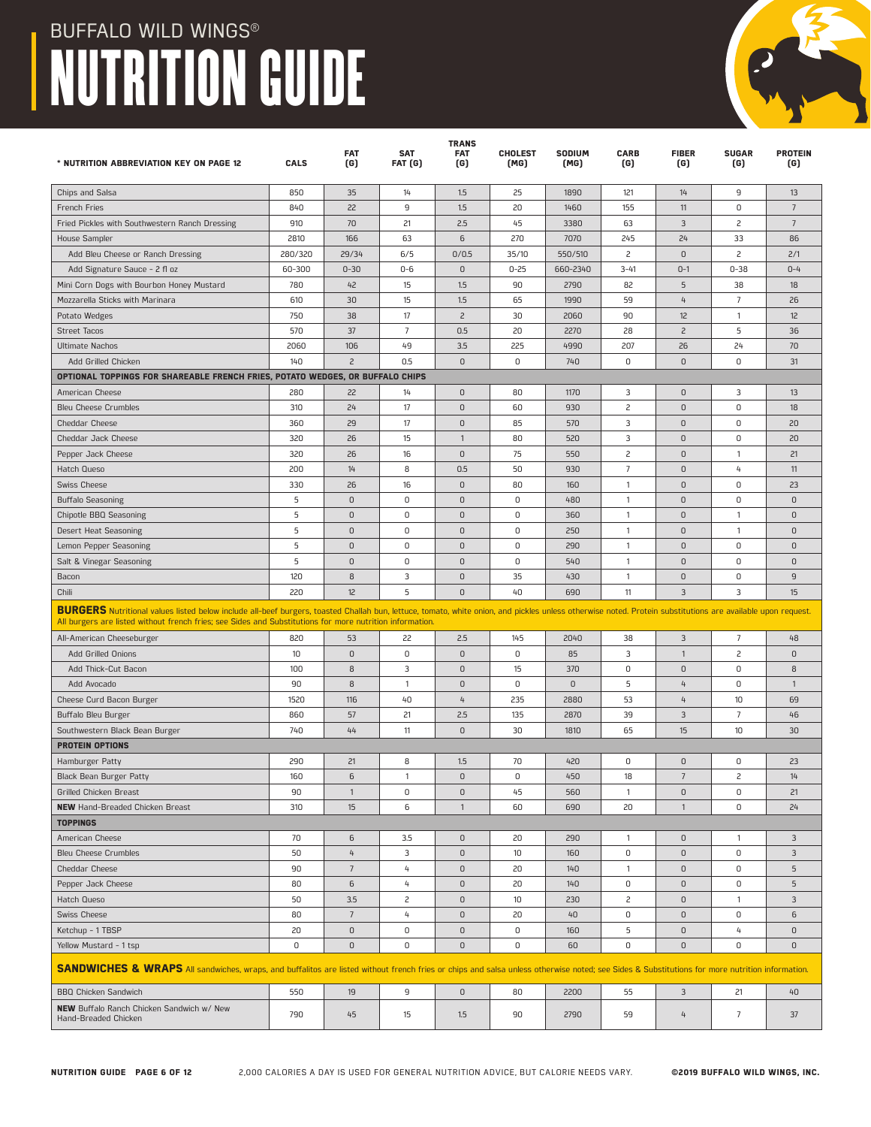| * NUTRITION ABBREVIATION KEY ON PAGE 12                                                                                                                                                                                                                                                                                | <b>CALS</b> | <b>FAT</b><br>(G) | SAT<br>FAT (G) | <b>TRANS</b><br><b>FAT</b><br>(G) | <b>CHOLEST</b><br>(MG) | SODIUM<br>(MG) | <b>CARB</b><br>(G) | <b>FIBER</b><br>(G) | <b>SUGAR</b><br>(G) | <b>PROTEIN</b><br>(G) |
|------------------------------------------------------------------------------------------------------------------------------------------------------------------------------------------------------------------------------------------------------------------------------------------------------------------------|-------------|-------------------|----------------|-----------------------------------|------------------------|----------------|--------------------|---------------------|---------------------|-----------------------|
| Chips and Salsa                                                                                                                                                                                                                                                                                                        | 850         | 35                | 14             | 1.5                               | 25                     | 1890           | 121                | 14                  | 9                   | 13                    |
| French Fries                                                                                                                                                                                                                                                                                                           | 840         | 22                | 9              | 1.5                               | 20                     | 1460           | 155                | 11                  | 0                   | $\overline{7}$        |
| Fried Pickles with Southwestern Ranch Dressing                                                                                                                                                                                                                                                                         | 910         | 70                | 21             | 2.5                               | 45                     | 3380           | 63                 | 3                   | $\overline{c}$      | $7\phantom{.0}$       |
| House Sampler                                                                                                                                                                                                                                                                                                          | 2810        | 166               | 63             | 6                                 | 270                    | 7070           | 245                | 24                  | 33                  | 86                    |
| Add Bleu Cheese or Ranch Dressing                                                                                                                                                                                                                                                                                      | 280/320     | 29/34             | 6/5            | 0/0.5                             | 35/10                  | 550/510        | 2                  | $\mathsf D$         | $\overline{c}$      | 2/1                   |
| Add Signature Sauce - 2 fl oz                                                                                                                                                                                                                                                                                          | 60-300      | $0 - 30$          | $0 - 6$        | $\mathsf D$                       | $0 - 25$               | 660-2340       | $3 - 41$           | $0 - 1$             | $0 - 38$            | $0 - 4$               |
| Mini Corn Dogs with Bourbon Honey Mustard                                                                                                                                                                                                                                                                              | 780         | 42                | 15             | 1.5                               | 90                     | 2790           | 82                 | 5                   | 38                  | 18                    |
| Mozzarella Sticks with Marinara                                                                                                                                                                                                                                                                                        | 610         | 30                | 15             | 1.5                               | 65                     | 1990           | 59                 | $4\overline{ }$     | $\overline{7}$      | 26                    |
| Potato Wedges                                                                                                                                                                                                                                                                                                          | 750         | 38                | 17             | $\overline{c}$                    | 30                     | 2060           | 90                 | 12                  | $\mathbf{1}$        | 12                    |
| Street Tacos                                                                                                                                                                                                                                                                                                           | 570         | 37                | $\overline{7}$ | 0.5                               | 20                     | 2270           | 28                 | $\overline{c}$      | 5                   | 36                    |
| <b>Ultimate Nachos</b>                                                                                                                                                                                                                                                                                                 | 2060        | 106               | 49             | 3.5                               | 225                    | 4990           | 207                | 26                  | 24                  | 70                    |
| Add Grilled Chicken                                                                                                                                                                                                                                                                                                    | 140         | $\overline{c}$    | 0.5            | $\mathbf{0}$                      | 0                      | 740            | $\mathbf 0$        | $\mathbf{0}$        | 0                   | 31                    |
| OPTIONAL TOPPINGS FOR SHAREABLE FRENCH FRIES, POTATO WEDGES, OR BUFFALO CHIPS                                                                                                                                                                                                                                          |             |                   |                |                                   |                        |                |                    |                     |                     |                       |
| American Cheese                                                                                                                                                                                                                                                                                                        | 280         | 22                | 14             | $\mathsf 0$                       | 80                     | 1170           | 3                  | $\mathsf D$         | 3                   | 13                    |
| <b>Bleu Cheese Crumbles</b>                                                                                                                                                                                                                                                                                            | 310         | 24                | 17             | $\mathsf 0$                       | 60                     | 930            | 2                  | $\mathsf D$         | 0                   | 18                    |
| <b>Cheddar Cheese</b>                                                                                                                                                                                                                                                                                                  | 360         | 29                | 17             | $\mathsf D$                       | 85                     | 570            | 3                  | $\mathsf 0$         | 0                   | 20                    |
| Cheddar Jack Cheese                                                                                                                                                                                                                                                                                                    | 320         | 26                | 15             | $\mathbf{1}$                      | 80                     | 520            | 3                  | $\mathsf D$         | 0                   | 20                    |
| Pepper Jack Cheese                                                                                                                                                                                                                                                                                                     | 320         | 26                | 16             | $\mathbf 0$                       | 75                     | 550            | $\overline{c}$     | $\mathsf 0$         | $\mathbf{1}$        | 21                    |
| Hatch Queso                                                                                                                                                                                                                                                                                                            | 200         | 14                | 8              | 0.5                               | 50                     | 930            | $\overline{7}$     | $\mathsf D$         | 4                   | 11                    |
| <b>Swiss Cheese</b>                                                                                                                                                                                                                                                                                                    | 330         | 26                | 16             | $\mathsf 0$                       | 80                     | 160            | $\mathbf{1}$       | $\mathsf D$         | 0                   | 23                    |
| <b>Buffalo Seasoning</b>                                                                                                                                                                                                                                                                                               | 5           | $\mathbf{0}$      | 0              | $\overline{0}$                    | 0                      | 480            | $\overline{1}$     | $\mathsf 0$         | 0                   | $\mathbf{0}$          |
| Chipotle BBQ Seasoning                                                                                                                                                                                                                                                                                                 | 5           | 0                 | 0              | $\Omega$                          | 0                      | 360            | $\mathbf{1}$       | $\mathbf{0}$        | $\mathbf{1}$        | $\mathbf{0}$          |
| Desert Heat Seasoning                                                                                                                                                                                                                                                                                                  | 5           | 0                 | 0              | $\mathbf 0$                       | 0                      | 250            | $\overline{1}$     | $\mathsf 0$         | $\mathbf{1}$        | $\overline{0}$        |
| Lemon Pepper Seasoning                                                                                                                                                                                                                                                                                                 | 5           | 0                 | 0              | $\mathsf D$                       | 0                      | 290            | $\mathbf{1}$       | $\mathsf D$         | 0                   | $\mathsf D$           |
| Salt & Vinegar Seasoning                                                                                                                                                                                                                                                                                               | 5           | 0                 | 0              | $\mathsf 0$                       | 0                      | 540            | $\mathbf{1}$       | $\mathsf D$         | 0                   | $\mathbf{0}$          |
| Bacon                                                                                                                                                                                                                                                                                                                  | 120         | 8                 | 3              | $\mathbf 0$                       | 35                     | 430            | $\overline{1}$     | $\mathsf D$         | 0                   | 9                     |
| Chili                                                                                                                                                                                                                                                                                                                  | 220         | 12                | 5              | $\mathbf{0}$                      | 40                     | 690            | 11                 | 3                   | 3                   | 15                    |
| BURGERS Nutritional values listed below include all-beef burgers, toasted Challah bun, lettuce, tomato, white onion, and pickles unless otherwise noted. Protein substitutions are available upon request.<br>All burgers are listed without french fries; see Sides and Substitutions for more nutrition information. |             |                   |                |                                   |                        |                |                    |                     |                     |                       |
| All-American Cheeseburger                                                                                                                                                                                                                                                                                              | 820         | 53                | 22             | 2.5                               | 145                    | 2040           | 38                 | 3                   | 7                   | 48                    |
| <b>Add Grilled Onions</b>                                                                                                                                                                                                                                                                                              | 10          | $\overline{0}$    | 0              | $\mathbf 0$                       | 0                      | 85             | 3                  | $\mathbf{1}$        | $\overline{c}$      | $\mathbf{0}$          |
| Add Thick-Cut Bacon                                                                                                                                                                                                                                                                                                    | 100         | 8                 | 3              | $\mathbf 0$                       | 15                     | 370            | $\mathbf 0$        | $\mathbf{0}$        | 0                   | 8                     |
| Add Avocado                                                                                                                                                                                                                                                                                                            | 90          | 8                 | $\mathbf{1}$   | $\mathsf D$                       | 0                      | 0              | 5                  | 4                   | 0                   | $\mathbf{1}$          |
| Cheese Curd Bacon Burger                                                                                                                                                                                                                                                                                               | 1520        | 116               | 40             | $\overline{4}$                    | 235                    | 2880           | 53                 | $4\overline{ }$     | 10                  | 69                    |
| Buffalo Bleu Burger                                                                                                                                                                                                                                                                                                    | 860         | 57                | 21             | 2.5                               | 135                    | 2870           | 39                 | 3                   | 7                   | 46                    |
| Southwestern Black Bean Burger                                                                                                                                                                                                                                                                                         | 740         | 44                | 11             | $\mathbf 0$                       | 30                     | 1810           | 65                 | 15                  | 10                  | 30                    |
| <b>PROTEIN OPTIONS</b>                                                                                                                                                                                                                                                                                                 |             |                   |                |                                   |                        |                |                    |                     |                     |                       |
| Hamburger Patty                                                                                                                                                                                                                                                                                                        | 290         | 21                | 8              | 1.5                               | 70                     | 420            | 0                  | $\mathsf 0$         | 0                   | 23                    |
| Black Bean Burger Patty                                                                                                                                                                                                                                                                                                | 160         | 6                 | -1             | $\mathsf D$                       | 0                      | 450            | 18                 | $\overline{7}$      | 2                   | 14                    |
| <b>Grilled Chicken Breast</b>                                                                                                                                                                                                                                                                                          | 90          | $\mathbf{1}$      | 0              | $\mathsf 0$                       | 45                     | 560            | $\mathbf{1}$       | $\mathsf D$         | 0                   | 21                    |
| <b>NEW</b> Hand-Breaded Chicken Breast<br><b>TOPPINGS</b>                                                                                                                                                                                                                                                              | 310         | 15                | 6              | $\overline{1}$                    | 60                     | 690            | 20                 | $\mathbf{1}$        | 0                   | 24                    |
| American Cheese                                                                                                                                                                                                                                                                                                        | 70          | 6                 | 3.5            | $\mathsf 0$                       | 20                     | 290            | $\overline{1}$     | $\mathsf 0$         | $\mathbf{1}$        | 3                     |
| <b>Bleu Cheese Crumbles</b>                                                                                                                                                                                                                                                                                            | 50          | 4                 | 3              | $\mathsf 0$                       | 10 <sup>°</sup>        | 160            | 0                  | $\mathsf 0$         | 0                   | $\overline{3}$        |
| <b>Cheddar Cheese</b>                                                                                                                                                                                                                                                                                                  | 90          | $\overline{7}$    | 4              | $\mathsf 0$                       | 20                     | 140            | 1                  | $\mathsf D$         | 0                   | 5                     |
| Pepper Jack Cheese                                                                                                                                                                                                                                                                                                     | 80          | 6                 | 4              | $\mathsf 0$                       | 20                     | 140            | 0                  | $\mathsf 0$         | 0                   | 5                     |
| Hatch Queso                                                                                                                                                                                                                                                                                                            | 50          | 3.5               | 2              | $\mathsf D$                       | 10 <sup>°</sup>        | 230            | $\mathsf{S}$       | $\mathsf D$         | $\mathbf{1}$        | 3                     |
| <b>Swiss Cheese</b>                                                                                                                                                                                                                                                                                                    | 80          | $7\phantom{.0}$   | 4              | $\mathsf 0$                       | 20                     | 40             | 0                  | $\mathsf 0$         | 0                   | 6                     |
| Ketchup - 1 TBSP                                                                                                                                                                                                                                                                                                       | 20          | $\mathsf 0$       | 0              | $\mathsf 0$                       | 0                      | 160            | 5                  | 0                   | 4                   | $\mathbb O$           |
| Yellow Mustard - 1 tsp                                                                                                                                                                                                                                                                                                 | 0           | 0                 | 0              | $\mathsf 0$                       | 0                      | 60             | 0                  | $\mathsf D$         | 0                   | $\mathbf 0$           |
|                                                                                                                                                                                                                                                                                                                        |             |                   |                |                                   |                        |                |                    |                     |                     |                       |
| SANDWICHES & WRAPS All sandwiches, wraps, and buffalitos are listed without french fries or chips and salsa unless otherwise noted; see Sides & Substitutions for more nutrition information.                                                                                                                          |             |                   |                |                                   |                        |                |                    |                     |                     |                       |
| <b>BBQ Chicken Sandwich</b><br>NEW Buffalo Ranch Chicken Sandwich w/ New                                                                                                                                                                                                                                               | 550         | 19                | 9              | $\mathsf 0$                       | 80                     | 2200           | 55                 | $\mathbf{3}$        | 21                  | 40                    |
| Hand-Breaded Chicken                                                                                                                                                                                                                                                                                                   | 790         | 45                | 15             | 1.5                               | 90                     | 2790           | 59                 | 4                   | 7                   | 37                    |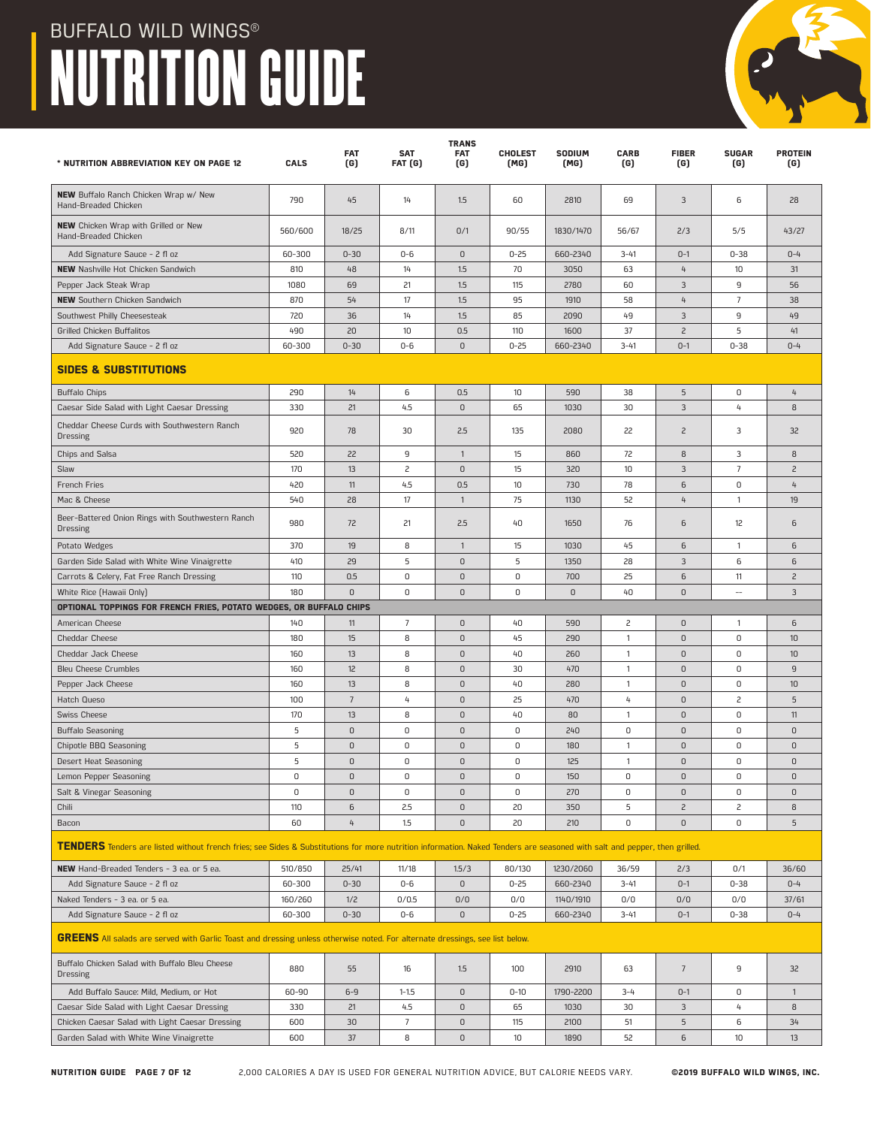| * NUTRITION ABBREVIATION KEY ON PAGE 12                                                                                                                                            | <b>CALS</b>       | <b>FAT</b><br>(G) | <b>SAT</b><br>FAT (G) | <b>TRANS</b><br><b>FAT</b><br>(G) | <b>CHOLEST</b><br>(MG) | SODIUM<br>(MG)        | <b>CARB</b><br>(G) | <b>FIBER</b><br>(G)           | <b>SUGAR</b><br>(G)      | <b>PROTEIN</b><br>(G) |
|------------------------------------------------------------------------------------------------------------------------------------------------------------------------------------|-------------------|-------------------|-----------------------|-----------------------------------|------------------------|-----------------------|--------------------|-------------------------------|--------------------------|-----------------------|
| NEW Buffalo Ranch Chicken Wrap w/ New<br>Hand-Breaded Chicken                                                                                                                      | 790               | 45                | 14                    | 1.5                               | 60                     | 2810                  | 69                 | 3                             | 6                        | 28                    |
| <b>NEW</b> Chicken Wrap with Grilled or New<br>Hand-Breaded Chicken                                                                                                                | 560/600           | 18/25             | 8/11                  | 0/1                               | 90/55                  | 1830/1470             | 56/67              | 2/3                           | 5/5                      | 43/27                 |
| Add Signature Sauce - 2 fl oz                                                                                                                                                      | 60-300            | $0 - 30$          | $0-6$                 | $\mathsf D$                       | $0 - 25$               | 660-2340              | $3 - 41$           | $0 - 1$                       | $0 - 38$                 | $0 - 4$               |
| <b>NEW</b> Nashville Hot Chicken Sandwich                                                                                                                                          | 810               | 48                | 14                    | 1.5                               | 70                     | 3050                  | 63                 | $\overline{4}$                | 10                       | 31                    |
| Pepper Jack Steak Wrap                                                                                                                                                             | 1080              | 69                | 21                    | 1.5                               | 115                    | 2780                  | 60                 | 3                             | 9                        | 56                    |
| <b>NEW</b> Southern Chicken Sandwich                                                                                                                                               | 870               | 54                | 17                    | 1.5                               | 95                     | 1910                  | 58                 | 4                             | 7                        | 38                    |
| Southwest Philly Cheesesteak                                                                                                                                                       | 720               | 36                | 14                    | 1.5                               | 85                     | 2090                  | 49                 | 3                             | 9                        | 49                    |
| Grilled Chicken Buffalitos                                                                                                                                                         | 490               | 20                | 10                    | 0.5                               | 110                    | 1600                  | 37                 | $\overline{c}$                | 5                        | 41                    |
| Add Signature Sauce - 2 fl oz                                                                                                                                                      | 60-300            | $0 - 30$          | $0 - 6$               | $\mathbf{0}$                      | $0 - 25$               | 660-2340              | $3 - 41$           | $0 - 1$                       | $0 - 38$                 | $0 - 4$               |
| <b>SIDES &amp; SUBSTITUTIONS</b>                                                                                                                                                   |                   |                   |                       |                                   |                        |                       |                    |                               |                          |                       |
| <b>Buffalo Chips</b>                                                                                                                                                               | 290               | 14                | 6                     | 0.5                               | 10                     | 590                   | 38                 | 5                             | 0                        | 4                     |
| Caesar Side Salad with Light Caesar Dressing                                                                                                                                       | 330               | 21                | 4.5                   | $\overline{0}$                    | 65                     | 1030                  | 30                 | 3                             | 4                        | 8                     |
| Cheddar Cheese Curds with Southwestern Ranch<br><b>Dressing</b>                                                                                                                    | 920               | 78                | 30                    | 2.5                               | 135                    | 2080                  | 22                 | $\overline{c}$                | 3                        | 32                    |
| Chips and Salsa                                                                                                                                                                    | 520               | 22                | 9                     | $\mathbf{1}$                      | 15                     | 860                   | 72                 | 8                             | 3                        | 8                     |
| Slaw                                                                                                                                                                               | 170               | 13                | 2                     | $\mathsf D$                       | 15                     | 320                   | 10                 | 3                             | $\overline{7}$           | $\overline{c}$        |
| French Fries                                                                                                                                                                       | 420               | 11                | 4.5                   | 0.5                               | 10                     | 730                   | 78                 | 6                             | 0                        | 4                     |
| Mac & Cheese                                                                                                                                                                       | 540               | 28                | 17                    | $\mathbf{1}$                      | 75                     | 1130                  | 52                 | 4                             | $\mathbf{1}$             | 19                    |
| Beer-Battered Onion Rings with Southwestern Ranch<br><b>Dressing</b>                                                                                                               | 980               | 72                | 21                    | 2.5                               | 40                     | 1650                  | 76                 | 6                             | 12                       | 6                     |
| Potato Wedges                                                                                                                                                                      | 370               | 19                | 8                     | $\mathbf{1}$                      | 15                     | 1030                  | 45                 | 6                             | 1                        | 6                     |
| Garden Side Salad with White Wine Vinaigrette                                                                                                                                      | 410               | 29                | 5                     | $\mathsf 0$                       | 5                      | 1350                  | 28                 | 3                             | 6                        | 6                     |
| Carrots & Celery, Fat Free Ranch Dressing                                                                                                                                          | 110               | 0.5               | 0                     | $\mathsf 0$                       | 0                      | 700                   | 25                 | 6                             | 11                       | $\overline{c}$        |
| White Rice (Hawaii Only)                                                                                                                                                           | 180               | $\mathbf{0}$      | 0                     | $\mathbf{0}$                      | 0                      | $\mathbf{0}$          | 40                 | $\mathsf D$                   | $\overline{\phantom{a}}$ | 3                     |
| OPTIONAL TOPPINGS FOR FRENCH FRIES, POTATO WEDGES, OR BUFFALO CHIPS                                                                                                                |                   |                   |                       |                                   |                        |                       |                    |                               |                          |                       |
| American Cheese                                                                                                                                                                    | 140               | 11                | 7                     | $\mathbf 0$                       | 40                     | 590                   | 2                  | $\mathsf 0$                   | 1                        | 6                     |
| <b>Cheddar Cheese</b>                                                                                                                                                              | 180               | 15                | 8                     | $\mathsf 0$                       | 45                     | 290                   | $\mathbf{1}$       | $\mathsf 0$                   | 0                        | 10                    |
| Cheddar Jack Cheese                                                                                                                                                                | 160               | 13                | 8                     | $\mathsf 0$                       | 40                     | 260                   | $\mathbf{1}$       | $\mathsf 0$                   | 0                        | 10                    |
| <b>Bleu Cheese Crumbles</b>                                                                                                                                                        | 160               | 12                | 8                     | $\mathsf 0$                       | 30                     | 470                   | $\mathbf{1}$       | $\mathsf 0$                   | 0                        | 9                     |
| Pepper Jack Cheese                                                                                                                                                                 | 160               | 13                | 8                     | $\mathsf 0$                       | 40                     | 280                   | $\mathbf{1}$       | $\mathsf 0$                   | 0                        | 10                    |
| <b>Hatch Queso</b>                                                                                                                                                                 | 100               | $\overline{7}$    | 4                     | $\mathbf 0$                       | 25                     | 470                   | 4                  | $\mathbf 0$                   | 2                        | 5                     |
| <b>Swiss Cheese</b>                                                                                                                                                                | 170               | 13                | 8                     | $\mathsf 0$                       | 40                     | 80                    | 1                  | $\mathsf D$                   | 0                        | 11                    |
| <b>Buffalo Seasoning</b>                                                                                                                                                           | 5                 | 0                 | 0                     | $\mathbf 0$                       | 0                      | 240                   | 0                  | $\mathbf 0$                   | 0                        | 0                     |
| Chipotle BBQ Seasoning                                                                                                                                                             | 5                 | $\mathbf{0}$      | 0                     | $\mathbf 0$                       | 0                      | 180                   | 1                  | $\mathsf D$                   | 0                        | $\mathbf{0}$          |
| Desert Heat Seasoning                                                                                                                                                              | 5                 | $\mathbf{0}$      | 0                     | $\mathbf{0}$                      | 0                      | 125                   | $\mathbf{1}$       | $\mathsf 0$                   | 0                        | $\mathbf{0}$          |
| Lemon Pepper Seasoning                                                                                                                                                             | 0                 | 0                 | 0                     | 0                                 | 0                      | 150                   | 0                  | 0                             | 0                        | 0                     |
| Salt & Vinegar Seasoning                                                                                                                                                           | 0                 | $\mathsf D$       | 0                     | $\mathsf 0$                       | 0                      | 270                   | $\mathsf 0$        | $\mathsf D$                   | 0                        | $\mathsf 0$           |
| Chili                                                                                                                                                                              | 110<br>60         | 6<br>4            | 2.5<br>1.5            | $\mathsf 0$<br>$\mathsf D$        | 20<br>20               | 350<br>210            | 5<br>0             | $\overline{c}$<br>$\mathsf D$ | 2<br>0                   | 8<br>5                |
| Bacon<br>TENDERS Tenders are listed without french fries; see Sides & Substitutions for more nutrition information. Naked Tenders are seasoned with salt and pepper, then grilled. |                   |                   |                       |                                   |                        |                       |                    |                               |                          |                       |
|                                                                                                                                                                                    |                   |                   |                       |                                   |                        |                       |                    |                               |                          |                       |
| NEW Hand-Breaded Tenders - 3 ea. or 5 ea.                                                                                                                                          | 510/850           | 25/41             | 11/18                 | 1.5/3                             | 80/130                 | 1230/2060             | 36/59              | 2/3                           | 0/1                      | 36/60                 |
| Add Signature Sauce - 2 fl oz<br>Naked Tenders - 3 ea. or 5 ea.                                                                                                                    | 60-300<br>160/260 | $0 - 30$<br>1/2   | $0-6$<br>0/0.5        | $\mathsf 0$<br>0/0                | $0 - 25$<br>0/0        | 660-2340<br>1140/1910 | $3 - 41$<br>0/0    | $0 - 1$<br>0/0                | $0 - 38$<br>0/0          | $0 - 4$               |
| Add Signature Sauce - 2 fl oz                                                                                                                                                      | 60-300            | $0 - 30$          | $0-6$                 | $\mathsf D$                       | $0 - 25$               | 660-2340              | $3 - 41$           | $0 - 1$                       | $0 - 38$                 | 37/61<br>$0 - 4$      |
| GREENS All salads are served with Garlic Toast and dressing unless otherwise noted. For alternate dressings, see list below.                                                       |                   |                   |                       |                                   |                        |                       |                    |                               |                          |                       |
| Buffalo Chicken Salad with Buffalo Bleu Cheese<br><b>Dressing</b>                                                                                                                  | 880               | 55                | 16                    | 1.5                               | 100                    | 2910                  | 63                 | $\overline{7}$                | 9                        | 32                    |
| Add Buffalo Sauce: Mild, Medium, or Hot                                                                                                                                            | 60-90             | $6-9$             | $1 - 1.5$             | $\mathsf D$                       | $0 - 10$               | 1790-2200             | $3 - 4$            | $0 - 1$                       | 0                        | $\mathbf{1}$          |
| Caesar Side Salad with Light Caesar Dressing                                                                                                                                       | 330               | 21                | 4.5                   | $\mathsf D$                       | 65                     | 1030                  | 30                 | 3                             | 4                        | 8                     |
| Chicken Caesar Salad with Light Caesar Dressing                                                                                                                                    | 600               | 30                | $\overline{7}$        | $\mathsf 0$                       | 115                    | 2100                  | 51                 | $\overline{5}$                | 6                        | 34                    |

Garden Salad with White Wine Vinaigrette 600 37 8 0 10 1890 52 6 10 13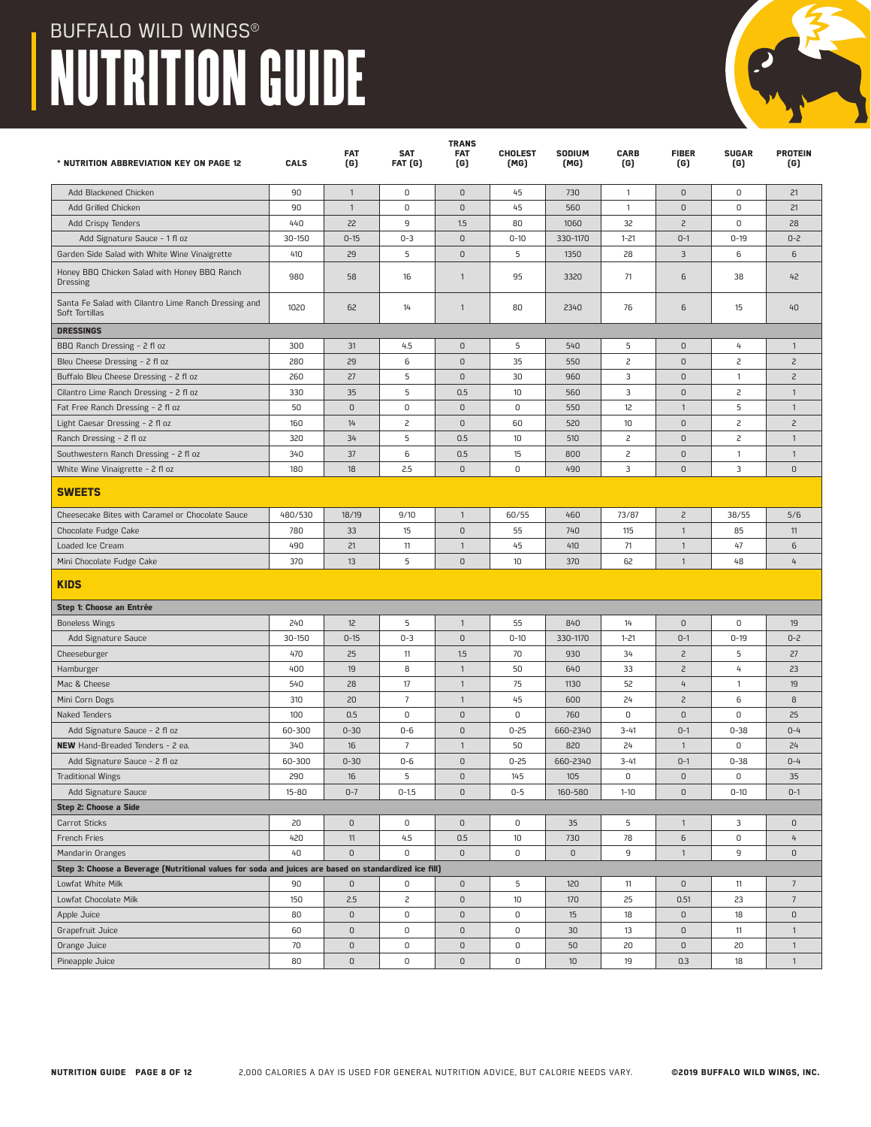| * NUTRITION ABBREVIATION KEY ON PAGE 12                                                               | CALS       | <b>FAT</b><br>(G) | <b>SAT</b><br>FAT (G) | <b>TRANS</b><br><b>FAT</b><br>(G) | <b>CHOLEST</b><br>(MG) | SODIUM<br>(MG) | <b>CARB</b><br>(G) | <b>FIBER</b><br>(G) | <b>SUGAR</b><br>(G) | <b>PROTEIN</b><br>(G) |
|-------------------------------------------------------------------------------------------------------|------------|-------------------|-----------------------|-----------------------------------|------------------------|----------------|--------------------|---------------------|---------------------|-----------------------|
| Add Blackened Chicken                                                                                 | 90         | $\mathbf{1}$      | 0                     | $\mathsf 0$                       | 45                     | 730            | $\overline{1}$     | $\mathsf D$         | 0                   | 21                    |
| Add Grilled Chicken                                                                                   | 90         | $\mathbf{1}$      | 0                     | $\mathsf 0$                       | 45                     | 560            | $\overline{1}$     | $\mathsf 0$         | 0                   | 21                    |
| Add Crispy Tenders                                                                                    | 440        | 22                | 9                     | 1.5                               | 80                     | 1060           | 32                 | $\overline{c}$      | 0                   | 28                    |
| Add Signature Sauce - 1 fl oz                                                                         | 30-150     | $0 - 15$          | $0 - 3$               | $\mathsf 0$                       | $0 - 10$               | 330-1170       | $1 - 21$           | $0 - 1$             | $0 - 19$            | $0 - 2$               |
| Garden Side Salad with White Wine Vinaigrette                                                         | 410        | 29                | 5                     | $\mathsf 0$                       | 5                      | 1350           | 28                 | 3                   | 6                   | 6                     |
| Honey BBQ Chicken Salad with Honey BBQ Ranch<br>Dressing                                              | 980        | 58                | 16                    | $\mathbf{1}$                      | 95                     | 3320           | 71                 | 6                   | 38                  | 42                    |
| Santa Fe Salad with Cilantro Lime Ranch Dressing and<br>Soft Tortillas                                | 1020       | 62                | 14                    | $\mathbf{1}$                      | 80                     | 2340           | 76                 | 6                   | 15                  | 40                    |
| <b>DRESSINGS</b>                                                                                      |            |                   |                       |                                   |                        |                |                    |                     |                     |                       |
| BBQ Ranch Dressing - 2 fl oz                                                                          | 300        | 31                | 4.5                   | $\mathbf 0$                       | 5                      | 540            | 5                  | $\mathsf D$         | 4                   | $\mathbf{1}$          |
| Bleu Cheese Dressing - 2 fl oz                                                                        | 280        | 29                | 6                     | $\mathsf 0$                       | 35                     | 550            | 2                  | $\mathsf 0$         | $\mathsf{S}$        | $\overline{c}$        |
| Buffalo Bleu Cheese Dressing - 2 fl oz                                                                | 260        | 27                | 5                     | $\mathsf 0$                       | 30                     | 960            | 3                  | 0                   | $\mathbf{1}$        | $\overline{c}$        |
| Cilantro Lime Ranch Dressing - 2 fl oz                                                                | 330        | 35                | 5                     | 0.5                               | 10                     | 560            | 3                  | $\mathsf 0$         | $\mathsf{S}$        | $\mathbf{1}$          |
| Fat Free Ranch Dressing - 2 fl oz                                                                     | 50         | $\mathsf 0$       | 0                     | $\mathsf 0$                       | 0                      | 550            | 12                 | $\mathbf{1}$        | 5                   | $\mathbf{1}$          |
| Light Caesar Dressing - 2 fl oz                                                                       | 160        | 14                | 2                     | $\mathbf 0$                       | 60                     | 520            | 10                 | $\mathsf 0$         | $\mathsf{S}$        | $\overline{c}$        |
| Ranch Dressing - 2 fl oz                                                                              | 320        | 34                | 5                     | 0.5                               | 10                     | 510            | $\overline{c}$     | $\mathsf D$         | $\mathsf{S}$        | $\overline{1}$        |
| Southwestern Ranch Dressing - 2 fl oz                                                                 | 340        | 37                | 6                     | 0.5                               | 15                     | 800            | $\overline{c}$     | $\mathsf 0$         | $\mathbf{1}$        | $\mathbf{1}$          |
| White Wine Vinaigrette - 2 fl oz                                                                      | 180        | 18                | 2.5                   | $\mathsf 0$                       | 0                      | 490            | 3                  | $\mathsf 0$         | 3                   | $\mathsf D$           |
| <b>SWEETS</b>                                                                                         |            |                   |                       |                                   |                        |                |                    |                     |                     |                       |
| Cheesecake Bites with Caramel or Chocolate Sauce                                                      | 480/530    | 18/19             | 9/10                  | $\overline{1}$                    | 60/55                  | 460            | 73/87              | $\overline{c}$      | 38/55               | 5/6                   |
| Chocolate Fudge Cake                                                                                  | 780        | 33                | 15                    | $\mathsf 0$                       | 55                     | 740            | 115                | $\mathbf{1}$        | 85                  | 11                    |
| Loaded Ice Cream                                                                                      | 490        | 21                | 11                    | $\mathbf{1}$                      | 45                     | 410            | 71                 | $\mathbf{1}$        | 47                  | 6                     |
| Mini Chocolate Fudge Cake                                                                             | 370        | 13                | 5                     | $\mathsf 0$                       | 10                     | 370            | 62                 | $\mathbf{1}$        | 48                  | 4                     |
| <b>KIDS</b>                                                                                           |            |                   |                       |                                   |                        |                |                    |                     |                     |                       |
| Step 1: Choose an Entrée                                                                              |            |                   |                       |                                   |                        |                |                    |                     |                     |                       |
| <b>Boneless Wings</b>                                                                                 | 240        | 12                | 5                     | $\mathbf{1}$                      | 55                     | 840            | 14                 | $\mathsf D$         | 0                   | 19                    |
| Add Signature Sauce                                                                                   | $30 - 150$ | $0 - 15$          | $0 - 3$               | $\mathsf 0$                       | $0 - 10$               | 330-1170       | $1 - 21$           | $0 - 1$             | $0 - 19$            | $0 - 2$               |
| Cheeseburger                                                                                          | 470        | 25                | 11                    | 1.5                               | 70                     | 930            | 34                 | 2                   | 5                   | 27                    |
| Hamburger                                                                                             | 400        | 19                | 8                     | $\overline{1}$                    | 50                     | 640            | 33                 | $\overline{c}$      | 4                   | 23                    |
| Mac & Cheese                                                                                          | 540        | 28                | 17                    | $\mathbf{1}$                      | 75                     | 1130           | 52                 | $4\overline{ }$     | $\mathbf{1}$        | 19                    |
| Mini Corn Dogs                                                                                        | 310        | 20                | $\overline{7}$        | $\mathbf{1}$                      | 45                     | 600            | 24                 | $\overline{c}$      | 6                   | 8                     |
| <b>Naked Tenders</b>                                                                                  | 100        | 0.5               | 0                     | $\mathsf 0$                       | 0                      | 760            | 0                  | $\mathsf D$         | 0                   | 25                    |
| Add Signature Sauce - 2 fl oz                                                                         | 60-300     | $0 - 30$          | $0 - 6$               | $\mathsf 0$                       | $0 - 25$               | 660-2340       | $3 - 41$           | $0 - 1$             | $0 - 38$            | $0 - 4$               |
| NEW Hand-Breaded Tenders - 2 ea.                                                                      | 340        | 16                | $\overline{7}$        | $\overline{1}$                    | 50                     | 820            | 24                 | $\mathbf{1}$        | 0                   | 24                    |
| Add Signature Sauce - 2 fl oz                                                                         | 60-300     | $0 - 30$          | $0 - 6$               | $\mathsf 0$                       | $0 - 25$               | 660-2340       | $3 - 41$           | $0 - 1$             | $0 - 38$            | $0 - 4$               |
| <b>Traditional Wings</b>                                                                              | 290        | 16                | 5                     | $\mathsf 0$                       | 145                    | 105            | $\mathsf 0$        | $\mathsf D$         | 0                   | 35                    |
| Add Signature Sauce                                                                                   | $15 - 80$  | $0 - 7$           | $0 - 1.5$             | 0                                 | $0 - 5$                | 160-580        | $1 - 10$           | $\mathsf D$         | $0 - 10$            | $0 - 1$               |
| Step 2: Choose a Side                                                                                 |            |                   |                       |                                   |                        |                |                    |                     |                     |                       |
| Carrot Sticks                                                                                         | 20         | $\mathsf D$       | 0                     | $\mathsf 0$                       | 0                      | 35             | 5                  | $\mathbf{1}$        | 3                   | $\overline{0}$        |
| French Fries                                                                                          | 420        | 11                | 4.5                   | 0.5                               | 10                     | 730            | 78                 | 6                   | 0                   | 4                     |
| Mandarin Oranges                                                                                      | 40         | $\mathsf D$       | 0                     | $\mathsf 0$                       | 0                      | $\mathsf D$    | 9                  | $\mathbf{1}$        | 9                   | $\mathsf 0$           |
| Step 3: Choose a Beverage (Nutritional values for soda and juices are based on standardized ice fill) |            |                   |                       |                                   |                        |                |                    |                     |                     |                       |
| Lowfat White Milk                                                                                     | 90         | $\mathsf D$       | 0                     | 0                                 | 5                      | 120            | 11                 | 0                   | 11                  | $\overline{7}$        |
| Lowfat Chocolate Milk                                                                                 | 150        | 2.5               | $\mathsf{S}$          | $\mathsf 0$                       | 10                     | 170            | 25                 | 0.51                | 23                  | $\overline{7}$        |
| Apple Juice                                                                                           | 80         | $\mathsf 0$       | 0                     | $\mathsf 0$                       | 0                      | 15             | 18                 | $\mathsf 0$         | 18                  | $\mathsf D$           |
| Grapefruit Juice                                                                                      | 60         | $\mathsf 0$       | 0                     | $\mathsf 0$                       | 0                      | 30             | 13                 | $\mathsf 0$         | 11                  | $\mathbf{1}$          |
| Orange Juice                                                                                          | 70         | $\mathsf D$       | 0                     | 0                                 | 0                      | 50             | 20                 | 0                   | 20                  | $\mathbf{1}$          |
| Pineapple Juice                                                                                       | 80         | $\mathsf D$       | 0                     | $\mathsf D$                       | 0                      | 10             | 19                 | 0.3                 | 18                  | $\mathbf{1}$          |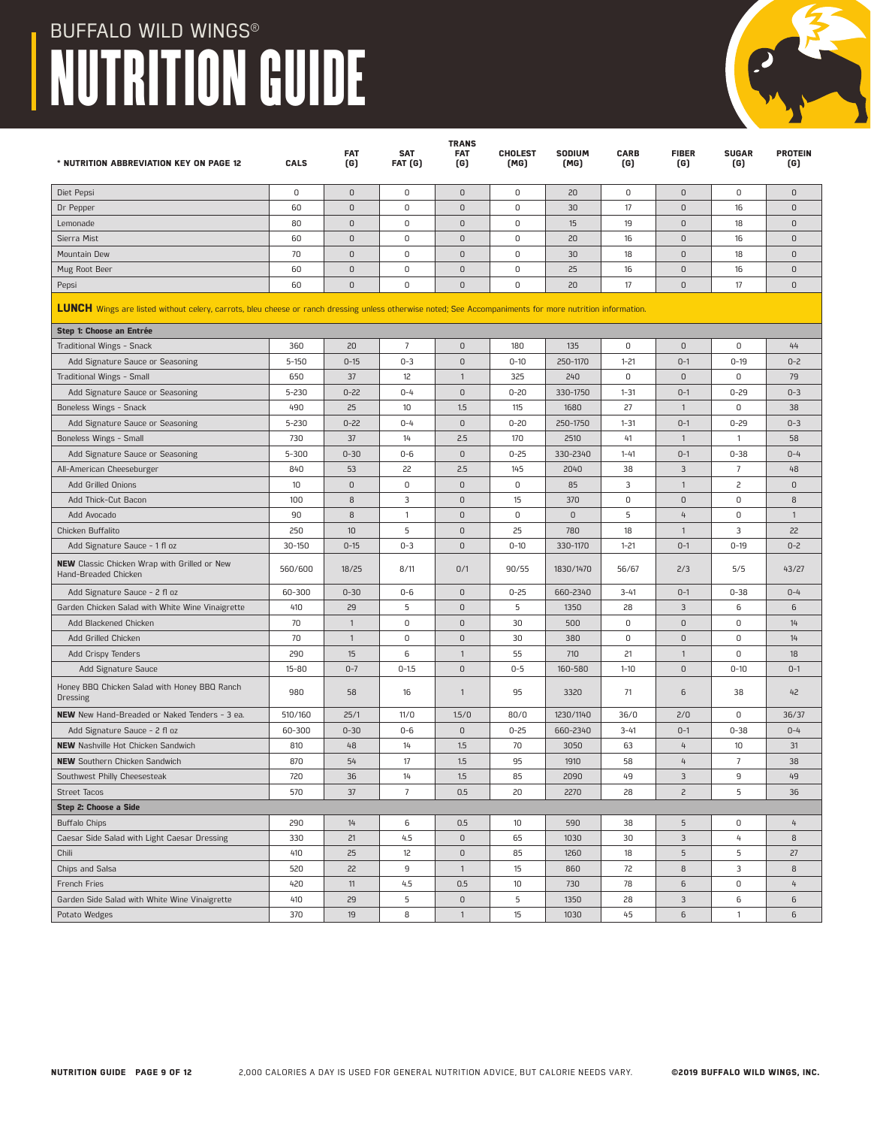

Garden Side Salad with White Wine Vinaigrette 410 29 5 0 5 1350 28 3 6 6 Potato Wedges 370 19 8 1 15 1030 45 6 1 6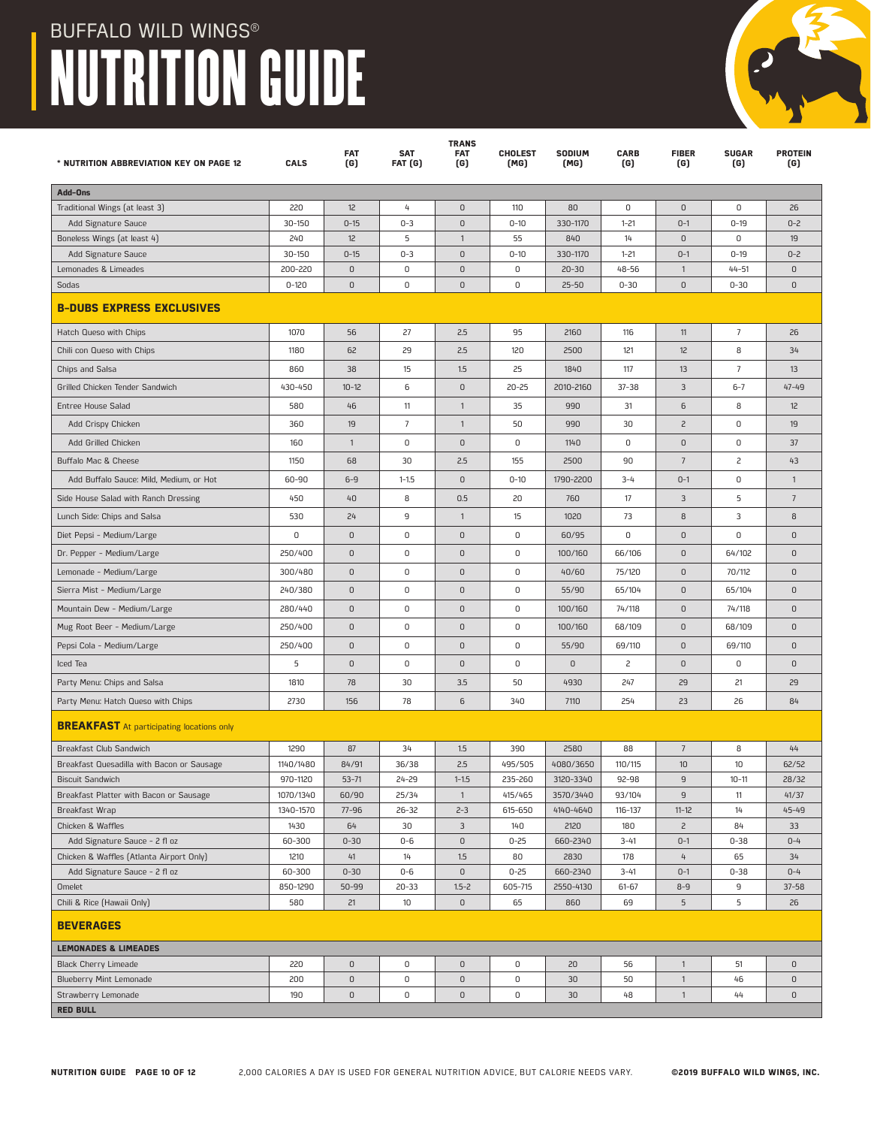

| * NUTRITION ABBREVIATION KEY ON PAGE 12                                   | <b>CALS</b>    | <b>FAT</b><br>(G) | <b>SAT</b><br>FAT (G) | <b>TRANS</b><br><b>FAT</b><br>(G) | <b>CHOLEST</b><br>(MG) | SODIUM<br>(MG)   | <b>CARB</b><br>(G) | <b>FIBER</b><br>(G)      | <b>SUGAR</b><br>(G) | <b>PROTEIN</b><br>(G) |
|---------------------------------------------------------------------------|----------------|-------------------|-----------------------|-----------------------------------|------------------------|------------------|--------------------|--------------------------|---------------------|-----------------------|
| Add-Ons                                                                   |                |                   |                       |                                   |                        |                  |                    |                          |                     |                       |
| Traditional Wings (at least 3)                                            | 220            | 12                | 4                     | $\mathsf D$                       | 110                    | 80               | 0                  | $\mathsf 0$              | 0                   | 26                    |
| Add Signature Sauce                                                       | $30 - 150$     | $0 - 15$          | $0 - 3$               | $\mathsf 0$                       | $0 - 10$               | 330-1170         | $1 - 21$           | $0 - 1$                  | $0 - 19$            | $0 - 2$               |
| Boneless Wings (at least 4)                                               | 240            | 12                | 5                     | $\mathbf{1}$                      | 55                     | 840              | 14                 | $\mathsf 0$              | 0                   | 19                    |
| Add Signature Sauce                                                       | 30-150         | $0 - 15$          | $0 - 3$               | 0                                 | $0 - 10$               | 330-1170         | $1 - 21$           | $0 - 1$                  | $0 - 19$            | $0 - 2$               |
| Lemonades & Limeades                                                      | 200-220        | $\mathsf D$       | 0                     | 0                                 | 0                      | $20 - 30$        | $48 - 56$          | $\mathbf{1}$             | $44 - 51$           | $\mathbf{0}$          |
| Sodas                                                                     | $0 - 120$      | $\mathsf D$       | 0                     | $\mathbf 0$                       | 0                      | $25 - 50$        | $0 - 30$           | $\mathsf D$              | $0 - 30$            | $\mathbf{0}$          |
| <b>B-DUBS EXPRESS EXCLUSIVES</b>                                          |                |                   |                       |                                   |                        |                  |                    |                          |                     |                       |
| Hatch Queso with Chips                                                    | 1070           | 56                | 27                    | 2.5                               | 95                     | 2160             | 116                | 11                       | $\overline{7}$      | 26                    |
| Chili con Queso with Chips                                                | 1180           | 62                | 29                    | 2.5                               | 120                    | 2500             | 121                | 12                       | 8                   | 34                    |
| Chips and Salsa                                                           | 860            | 38                | 15                    | 1.5                               | 25                     | 1840             | 117                | 13                       | $\overline{7}$      | 13                    |
| Grilled Chicken Tender Sandwich                                           | 430-450        | $10 - 12$         | 6                     | $\mathsf 0$                       | $20 - 25$              | 2010-2160        | $37 - 38$          | 3                        | $6 - 7$             | $47 - 49$             |
| <b>Entree House Salad</b>                                                 | 580            | 46                | 11                    | $\mathbf{1}$                      | 35                     | 990              | 31                 | 6                        | 8                   | 12                    |
| Add Crispy Chicken                                                        | 360            | 19                | $\overline{7}$        | $\mathbf{1}$                      | 50                     | 990              | 30                 | $\overline{c}$           | 0                   | 19                    |
| Add Grilled Chicken                                                       | 160            | $\mathbf{1}$      | 0                     | 0                                 | 0                      | 1140             | 0                  | $\mathsf D$              | 0                   | 37                    |
| Buffalo Mac & Cheese                                                      | 1150           | 68                | 30                    | 2.5                               | 155                    | 2500             | 90                 | $7\phantom{.0}$          | 2                   | 43                    |
| Add Buffalo Sauce: Mild, Medium, or Hot                                   | 60-90          | $6-9$             | $1 - 1.5$             | $\mathbf{0}$                      | $0 - 10$               | 1790-2200        | $3 - 4$            | $0 - 1$                  | 0                   | $\mathbf{1}$          |
| Side House Salad with Ranch Dressing                                      | 450            | 40                | 8                     | 0.5                               | 20                     | 760              | 17                 | $\mathbf{3}$             | 5                   | $\overline{7}$        |
| Lunch Side: Chips and Salsa                                               | 530            | 24                | 9                     | $\mathbf{1}$                      | 15                     | 1020             | 73                 | 8                        | 3                   | 8                     |
| Diet Pepsi - Medium/Large                                                 | 0              | $\mathsf D$       | 0                     | $\mathsf 0$                       | 0                      | 60/95            | 0                  | $\mathsf D$              | 0                   | $\mathsf 0$           |
| Dr. Pepper - Medium/Large                                                 | 250/400        | $\mathsf D$       | 0                     | $\mathsf 0$                       | 0                      | 100/160          | 66/106             | $\mathsf D$              | 64/102              | $\mathsf 0$           |
| Lemonade - Medium/Large                                                   | 300/480        | 0                 | 0                     | $\mathsf 0$                       | 0                      | 40/60            | 75/120             | $\mathsf D$              | 70/112              | $\mathsf 0$           |
| Sierra Mist - Medium/Large                                                | 240/380        | $\mathsf D$       | 0                     | $\mathsf 0$                       | 0                      | 55/90            | 65/104             | $\mathsf D$              | 65/104              | $\mathbf{0}$          |
| Mountain Dew - Medium/Large                                               | 280/440        | $\mathsf D$       | 0                     | $\mathsf 0$                       | 0                      | 100/160          | 74/118             | $\mathsf D$              | 74/118              | $\mathbf{0}$          |
| Mug Root Beer - Medium/Large                                              | 250/400        | $\mathsf D$       | 0                     | $\mathsf D$                       | 0                      | 100/160          | 68/109             | $\mathsf 0$              | 68/109              | $\mathbf{0}$          |
| Pepsi Cola - Medium/Large                                                 | 250/400        | $\mathsf D$       | 0                     | 0                                 | 0                      | 55/90            | 69/110             | $\mathsf D$              | 69/110              | $\mathbf{0}$          |
| Iced Tea                                                                  | 5              | $\mathsf D$       | 0                     | 0                                 | 0                      | $\mathbf 0$      | 2                  | $\mathsf D$              | 0                   | 0                     |
| Party Menu: Chips and Salsa                                               | 1810           | 78                | 30                    | 3.5                               | 50                     | 4930             | 247                | 29                       | 21                  | 29                    |
| Party Menu: Hatch Queso with Chips                                        | 2730           | 156               | 78                    | 6                                 | 340                    | 7110             | 254                | 23                       | 26                  | 84                    |
| <b>BREAKFAST</b> At participating locations only                          |                |                   |                       |                                   |                        |                  |                    |                          |                     |                       |
| Breakfast Club Sandwich                                                   | 1290           | 87                | 34                    | 1.5                               | 390                    | 2580             | 88                 | $\overline{7}$           | 8                   | 44                    |
| Breakfast Quesadilla with Bacon or Sausage                                | 1140/1480      | 84/91             | 36/38                 | 2.5                               | 495/505                | 4080/3650        | 110/115            | 10                       | 10                  | 62/52                 |
| <b>Biscuit Sandwich</b>                                                   | 970-1120       | $53 - 71$         | 24-29                 | $1 - 1.5$                         | 235-260                | 3120-3340        | 92-98              | 9                        | $10 - 11$           | 28/32                 |
| Breakfast Platter with Bacon or Sausage                                   | 1070/1340      | 60/90             | 25/34                 | $\overline{1}$                    | 415/465                | 3570/3440        | 93/104             | 9                        | 11                  | 41/37                 |
| Breakfast Wrap                                                            | 1340-1570      | $77 - 96$         | $26 - 32$             | $2 - 3$                           | 615-650                | 4140-4640        | 116-137            | $11 - 12$                | 14                  | $45 - 49$             |
| Chicken & Waffles                                                         | 1430           | 64                | 30                    | 3                                 | 140                    | 2120             | 180                | $\overline{c}$           | 84                  | 33                    |
| Add Signature Sauce - 2 fl oz<br>Chicken & Waffles (Atlanta Airport Only) | 60-300<br>1210 | $0 - 30$<br>41    | $0 - 6$<br>14         | $\mathsf 0$<br>1.5                | $0 - 25$<br>80         | 660-2340         | $3 - 41$<br>178    | $0 - 1$<br>$\frac{1}{2}$ | $0 - 38$<br>65      | $0 - 4$<br>34         |
| Add Signature Sauce - 2 fl oz                                             | 60-300         | $0 - 30$          | $0 - 6$               | $\mathsf 0$                       | $0 - 25$               | 2830<br>660-2340 | $3 - 41$           | $0 - 1$                  | $0 - 38$            | $0 - 4$               |
| Omelet                                                                    | 850-1290       | $50 - 99$         | $20 - 33$             | $1.5 - 2$                         | 605-715                | 2550-4130        | $61 - 67$          | $8 - 9$                  | 9                   | $37 - 58$             |
| Chili & Rice (Hawaii Only)                                                | 580            | 21                | 10                    | $\mathsf 0$                       | 65                     | 860              | 69                 | 5                        | 5                   | 26                    |
| <b>BEVERAGES</b>                                                          |                |                   |                       |                                   |                        |                  |                    |                          |                     |                       |
| <b>LEMONADES &amp; LIMEADES</b>                                           |                |                   |                       |                                   |                        |                  |                    |                          |                     |                       |
| Black Cherry Limeade                                                      | 220            | 0                 | 0                     | $\mathsf D$                       | 0                      | 20               | 56                 | $\mathbf{1}$             | 51                  | $\mathsf 0$           |
| <b>Blueberry Mint Lemonade</b>                                            | 200            | $\mathsf 0$       | $\mathsf 0$           | $\mathsf 0$                       | 0                      | 30               | 50                 | $\mathbf{1}$             | 46                  | 0                     |
| Strawberry Lemonade                                                       | 190            | 0                 | 0                     | 0                                 | 0                      | 30               | 48                 | $\mathbf{1}$             | 44                  | 0                     |
| <b>RED BULL</b>                                                           |                |                   |                       |                                   |                        |                  |                    |                          |                     |                       |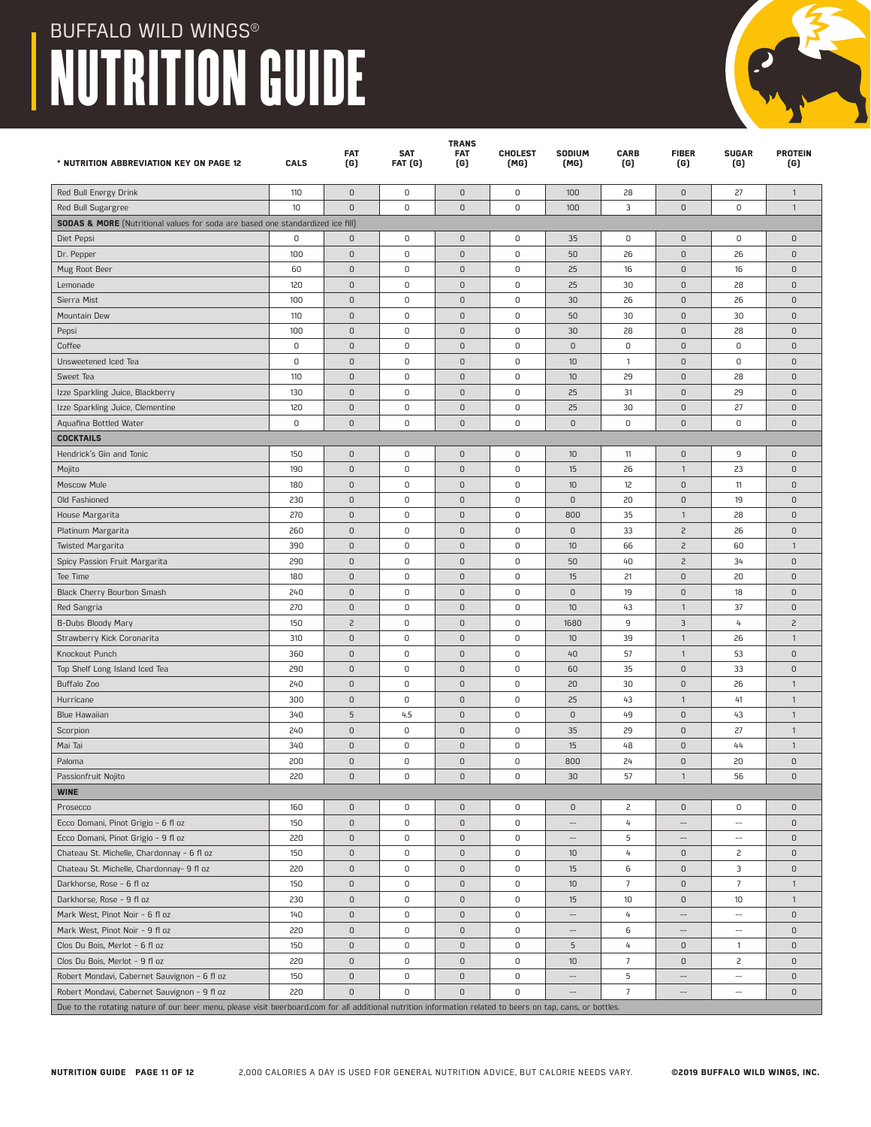| * NUTRITION ABBREVIATION KEY ON PAGE 12                                                                                                                     | CALS        | <b>FAT</b><br>(G)   | <b>SAT</b><br>FAT (G) | <b>TRANS</b><br><b>FAT</b><br>(G) | <b>CHOLEST</b><br>(MG) | SODIUM<br>(MG)           | <b>CARB</b><br>(G) | <b>FIBER</b><br>(G)      | <b>SUGAR</b><br>(G)                                 | <b>PROTEIN</b><br>(G) |
|-------------------------------------------------------------------------------------------------------------------------------------------------------------|-------------|---------------------|-----------------------|-----------------------------------|------------------------|--------------------------|--------------------|--------------------------|-----------------------------------------------------|-----------------------|
| Red Bull Energy Drink                                                                                                                                       | 110         | $\mathsf D$         | 0                     | $\mathsf D$                       | 0                      | 100                      | 28                 | $\mathsf 0$              | 27                                                  | $\mathbf{1}$          |
| Red Bull Sugargree                                                                                                                                          | 10          | $\overline{0}$      | $\mathbf 0$           | $\mathbf{0}$                      | 0                      | 100                      | 3                  | $\mathsf 0$              | $\mathbf 0$                                         | $\mathbf{1}$          |
| <b>SODAS &amp; MORE</b> (Nutritional values for soda are based one standardized ice fill)                                                                   |             |                     |                       |                                   |                        |                          |                    |                          |                                                     |                       |
| Diet Pepsi                                                                                                                                                  | 0           | 0                   | 0                     | $\mathsf 0$                       | 0                      | 35                       | $\mathsf 0$        | $\mathsf 0$              | 0                                                   | $\mathsf D$           |
| Dr. Pepper                                                                                                                                                  | 100         | 0                   | 0                     | $\mathsf 0$                       | 0                      | 50                       | 26                 | $\mathsf 0$              | 26                                                  | $\mathsf 0$           |
| Mug Root Beer                                                                                                                                               | 60          | $\mathsf 0$         | 0                     | $\mathsf D$                       | 0                      | 25                       | 16                 | $\mathsf 0$              | 16                                                  | $\overline{0}$        |
| Lemonade                                                                                                                                                    | 120         | 0                   | 0                     | $\mathsf D$                       | 0                      | 25                       | 30                 | $\mathsf 0$              | 28                                                  | $\overline{0}$        |
| Sierra Mist                                                                                                                                                 | 100         | $\mathsf 0$         | $\mathsf 0$           | $\mathbf 0$                       | 0                      | 30                       | 26                 | $\mathsf 0$              | 26                                                  | $\mathsf D$           |
| Mountain Dew                                                                                                                                                | 110         | $\mathsf 0$         | 0                     | $\mathsf 0$                       | 0                      | 50                       | 30                 | $\mathsf 0$              | 30                                                  | $\mathsf D$           |
| Pepsi                                                                                                                                                       | 100         | 0                   | 0                     | $\mathsf D$                       | 0                      | 30                       | 28                 | $\mathsf 0$              | 28                                                  | $\mathbf{0}$          |
| Coffee                                                                                                                                                      | 0           | $\overline{0}$      | 0                     | $\mathsf D$                       | 0                      | $\mathsf D$              | $\mathbf 0$        | $\mathsf 0$              | 0                                                   | $\overline{0}$        |
| Unsweetened Iced Tea                                                                                                                                        | 0           | 0                   | 0                     | $\mathsf D$                       | 0                      | 10                       | $\overline{1}$     | $\mathsf 0$              | 0                                                   | $\overline{0}$        |
| Sweet Tea                                                                                                                                                   | 110         | $\mathsf 0$         | $\mathsf 0$           | $\mathsf D$                       | 0                      | 10                       | 29                 | $\mathsf 0$              | 28                                                  | $\mathsf 0$           |
| Izze Sparkling Juice, Blackberry                                                                                                                            | 130         | $\mathsf 0$         | 0                     | $\mathsf 0$                       | 0                      | 25                       | 31                 | $\mathsf 0$              | 29                                                  | $\mathsf D$           |
| Izze Sparkling Juice, Clementine                                                                                                                            | 120         | 0                   | 0                     | $\mathsf 0$                       | 0                      | 25                       | 30                 | $\mathsf 0$              | 27                                                  | $\mathbf 0$           |
| Aquafina Bottled Water                                                                                                                                      | $\mathbf 0$ | $\overline{0}$      | 0                     | $\mathsf D$                       | 0                      | $\mathsf D$              | $\mathsf 0$        | $\mathsf 0$              | 0                                                   | $\mathbf{0}$          |
| <b>COCKTAILS</b>                                                                                                                                            |             |                     |                       |                                   |                        |                          |                    |                          |                                                     |                       |
| Hendrick's Gin and Tonic                                                                                                                                    | 150         | $\mathsf{O}\xspace$ | 0                     | $\mathsf D$                       | 0                      | $10$                     | 11                 | $\mathsf 0$              | 9                                                   | $\mathsf 0$           |
| Mojito                                                                                                                                                      | 190         | $\mathsf D$         | 0                     | $\mathsf D$                       | 0                      | 15                       | 26                 | $\mathbf{1}$             | 23                                                  | $\mathsf D$           |
| <b>Moscow Mule</b>                                                                                                                                          | 180         | 0                   | 0                     | $\mathsf 0$                       | 0                      | 10                       | 12                 | $\mathsf 0$              | 11                                                  | $\mathbf{0}$          |
| Old Fashioned                                                                                                                                               | 230         | $\mathsf D$         | 0                     | $\mathbf 0$                       | 0                      | $\mathsf D$              | 20                 | $\mathsf 0$              | 19                                                  | $\overline{0}$        |
| House Margarita                                                                                                                                             | 270         | $\mathsf D$         | 0                     | $\mathsf D$                       | 0                      | 800                      | 35                 | $\mathbf{1}$             | 28                                                  | $\overline{0}$        |
| Platinum Margarita                                                                                                                                          | 260         | $\mathsf{O}\xspace$ | $\mathsf 0$           | $\mathsf D$                       | 0                      | $\mathsf D$              | 33                 | $\overline{c}$           | 26                                                  | $\mathsf 0$           |
| <b>Twisted Margarita</b>                                                                                                                                    | 390         | $\mathsf D$         | 0                     | $\mathsf D$                       | 0                      | $10$                     | 66                 | $\overline{c}$           | 60                                                  | $\mathbf{1}$          |
| Spicy Passion Fruit Margarita                                                                                                                               | 290         | 0                   | 0                     | $\mathsf D$                       | 0                      | 50                       | 40                 | $\overline{c}$           | 34                                                  | $\mathsf 0$           |
| Tee Time                                                                                                                                                    | 180         | $\mathsf D$         | 0                     | $\mathsf 0$                       | 0                      | 15                       | 21                 | $\mathsf 0$              | 20                                                  | $\mathbf{0}$          |
| Black Cherry Bourbon Smash                                                                                                                                  | 240         | $\mathsf D$         | $\mathsf 0$           | $\mathsf D$                       | 0                      | $\mathsf D$              | 19                 | $\mathsf 0$              | 18                                                  | $\overline{0}$        |
| Red Sangria                                                                                                                                                 | 270         | $\mathsf{O}\xspace$ | $\mathsf 0$           | $\mathsf D$                       | 0                      | $10$                     | 43                 | $\mathbf{1}$             | 37                                                  | $\mathsf D$           |
| B-Dubs Bloody Mary                                                                                                                                          | 150         | $\overline{c}$      | 0                     | $\mathsf D$                       | 0                      | 1680                     | 9                  | 3                        | 4                                                   | $\overline{c}$        |
| Strawberry Kick Coronarita                                                                                                                                  | 310         | 0                   | 0                     | $\mathsf D$                       | 0                      | 10                       | 39                 | $\mathbf{1}$             | 26                                                  | $\mathbf{1}$          |
| Knockout Punch                                                                                                                                              | 360         | $\mathsf D$         | 0                     | $\mathsf D$                       | 0                      | 40                       | 57                 | $\mathbf{1}$             | 53                                                  | $\mathbf{0}$          |
| Top Shelf Long Island Iced Tea                                                                                                                              | 290         | $\mathsf D$         | 0                     | $\mathsf D$                       | 0                      | 60                       | 35                 | $\mathsf 0$              | 33                                                  | $\overline{0}$        |
| Buffalo Zoo                                                                                                                                                 | 240         | 0                   | $\mathsf 0$           | $\mathsf D$                       | 0                      | 20                       | 30                 | $\mathsf 0$              | 26                                                  | $\mathbf{1}$          |
| Hurricane                                                                                                                                                   | 300         | $\mathsf D$         | 0                     | $\mathsf D$                       | 0                      | 25                       | 43                 | $\mathbf{1}$             | 41                                                  | $\mathbf{1}$          |
| Blue Hawaiian                                                                                                                                               | 340         | 5                   | 4.5                   | $\mathsf D$                       | 0                      | $\mathsf 0$              | 49                 | $\mathsf 0$              | 43                                                  | $\mathbf{1}$          |
| Scorpion                                                                                                                                                    | 240         | $\mathsf D$         | 0                     | $\mathsf D$                       | 0                      | 35                       | 29                 | $\mathsf 0$              | 27                                                  | $\mathbf{1}$          |
| Mai Tai                                                                                                                                                     | 340         | $\mathsf D$         | 0                     | $\mathsf D$                       | 0                      | 15                       | 48                 | $\mathsf 0$              | 44                                                  | $\mathbf{1}$          |
| Paloma                                                                                                                                                      | 200         | $\mathsf D$         | 0                     | $\mathsf D$                       | 0                      | 800                      | 24                 | $\mathsf 0$              | 20                                                  | $\mathsf D$           |
| Passionfruit Nojito                                                                                                                                         | 220         | $\mathsf 0$         | 0                     | $\mathsf D$                       | 0                      | 30                       | 57                 | $\mathbf{1}$             | 56                                                  | $\mathsf 0$           |
| <b>WINE</b>                                                                                                                                                 |             |                     |                       |                                   |                        |                          |                    |                          |                                                     |                       |
| Prosecco                                                                                                                                                    | 160         | $\mathsf D$         | 0                     | $\mathsf 0$                       | 0                      | $\mathsf D$              | 2                  | $\mathsf 0$              | 0                                                   | $\mathsf 0$           |
| Ecco Domani, Pinot Grigio - 6 fl oz                                                                                                                         | 150         | $\mathsf 0$         | 0                     | $\mathsf 0$                       | 0                      |                          | $\overline{4}$     | --                       | $\overline{\phantom{a}}$                            | $\mathsf D$           |
| Ecco Domani, Pinot Grigio - 9 fl oz                                                                                                                         | 220         | $\mathsf{O}\xspace$ | 0                     | $\mathsf D$                       | $\mathsf 0$            | $\qquad \qquad -$        | 5                  | $\overline{\phantom{a}}$ | $\overline{\phantom{a}}$                            | $\mathsf 0$           |
| Chateau St. Michelle, Chardonnay - 6 fl oz                                                                                                                  | 150         | $\mathsf D$         | 0                     | $\mathsf 0$                       | 0                      | 10                       | 4                  | 0                        | $\overline{c}$                                      | $\mathsf 0$           |
| Chateau St. Michelle, Chardonnay- 9 fl oz                                                                                                                   | 220         | 0                   | 0                     | $\mathsf 0$                       | 0                      | 15                       | 6                  | $\mathsf D$              | 3                                                   | $\mathsf 0$           |
| Darkhorse, Rose - 6 fl oz                                                                                                                                   | 150         | $\mathsf D$         | 0                     | $\mathsf D$                       | 0                      | 10                       | $\overline{7}$     | $\mathsf 0$              | $\overline{7}$                                      | $\mathbf{1}$          |
| Darkhorse, Rose - 9 fl oz                                                                                                                                   | 230         | $\mathsf 0$         | 0                     | $\mathsf 0$                       | 0                      | 15                       | 10                 | $\mathsf 0$              | 10                                                  | $\mathbf{1}$          |
| Mark West, Pinot Noir - 6 fl oz                                                                                                                             | 140         | $\mathsf{O}\xspace$ | 0                     | $\mathsf 0$                       | $\mathsf 0$            | $\overline{\phantom{a}}$ | 4                  | $\overline{\phantom{a}}$ | $\overline{\phantom{a}}$                            | $\mathsf 0$           |
| Mark West, Pinot Noir - 9 fl oz                                                                                                                             | 220         | $\mathsf D$         | 0                     | $\mathsf 0$                       | 0                      | $-\!$                    | 6                  | $\qquad \qquad -$        | $\hspace{0.05cm} -\hspace{0.05cm} -\hspace{0.05cm}$ | $\mathsf 0$           |
| Clos Du Bois, Merlot - 6 fl oz                                                                                                                              | 150         | 0                   | 0                     | $\mathsf 0$                       | 0                      | 5                        | 4                  | $\mathsf D$              | $\mathbf{1}$                                        | $\mathsf 0$           |
| Clos Du Bois, Merlot - 9 fl oz                                                                                                                              | 220         | $\mathsf D$         | 0                     | $\mathsf D$                       | 0                      | 10                       | $\overline{7}$     | $\mathsf 0$              | $\overline{c}$                                      | $\mathsf 0$           |
| Robert Mondavi, Cabernet Sauvignon - 6 fl oz                                                                                                                | 150         | $\mathsf 0$         | 0                     | $\mathsf 0$                       | 0                      | $\overline{\phantom{a}}$ | 5                  | $-$                      | $\overline{\phantom{a}}$                            | $\mathsf D$           |
| Robert Mondavi, Cabernet Sauvignon - 9 fl oz                                                                                                                | 220         | $\mathsf D$         | 0                     | $\mathsf 0$                       | 0                      |                          | $\overline{7}$     | --                       | $\overline{a}$                                      | $\mathsf 0$           |
| Due to the rotating nature of our beer menu, please visit beerboard.com for all additional nutrition information related to beers on tap, cans, or bottles. |             |                     |                       |                                   |                        |                          |                    |                          |                                                     |                       |